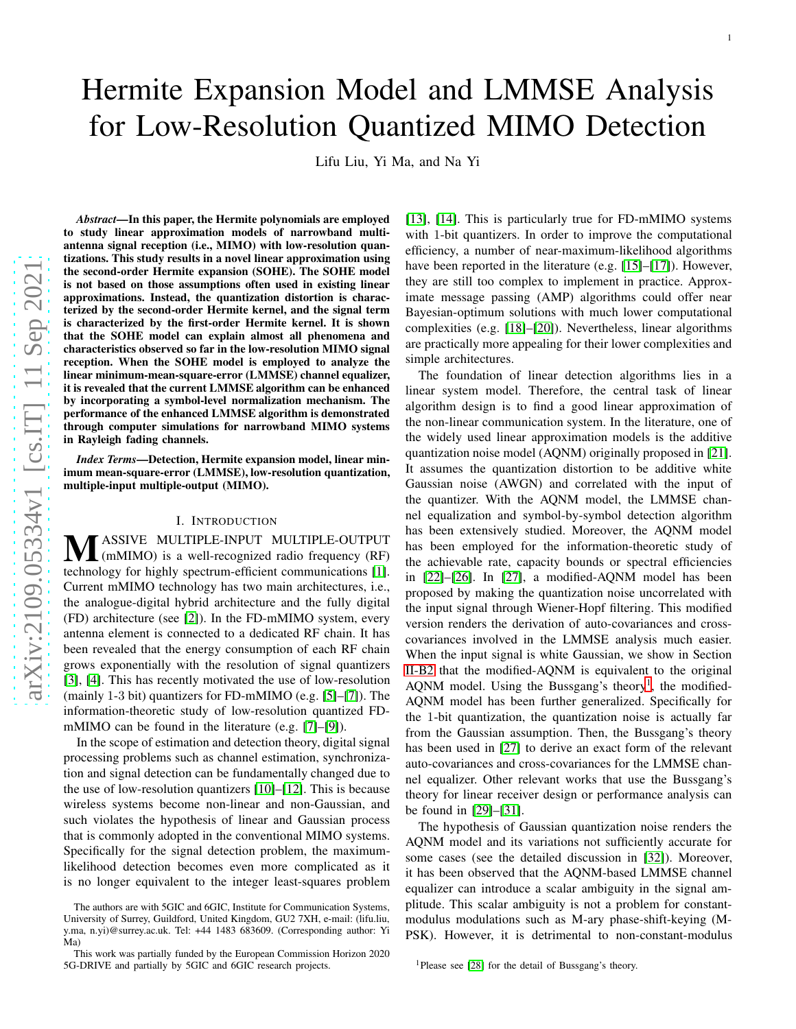# Hermite Expansion Model and LMMSE Analysis for Low-Resolution Quantized MIMO Detection

Lifu Liu, Yi Ma, and Na Yi

*Abstract*—In this paper, the Hermite polynomials are employed to study linear approximation models of narrowband multiantenna signal reception (i.e., MIMO) with low-resolution quantizations. This study results in a novel linear approximation using the second-order Hermite expansion (SOHE). The SOHE model is not based on those assumptions often used in existing linear approximations. Instead, the quantization distortion is characterized by the second-order Hermite kernel, and the signal term is characterized by the first-order Hermite kernel. It is shown that the SOHE model can explain almost all phenomena and characteristics observed so far in the low-resolution MIMO signal reception. When the SOHE model is employed to analyze the linear minimum-mean-square-error (LMMSE) channel equalizer, it is revealed that the current LMMSE algorithm can be enhanced by incorporating a symbol-level normalization mechanism. The performance of the enhanced LMMSE algorithm is demonstrate d through computer simulations for narrowband MIMO systems in Rayleigh fading channels.

*Index Terms*—Detection, Hermite expansion model, linear minimum mean-square-error (LMMSE), low-resolution quantization, multiple-input multiple-output (MIMO).

#### I. INTRODUCTION

<span id="page-0-1"></span>**MASSIVE MULTIPLE-INPUT MULTIPLE-OUTPUT**<br>
(mMIMO) is a well-recognized radio frequency (RF) technology for highly spectrum-efficient communications [\[1\]](#page-13-0). Current mMIMO technology has two main architectures, i.e., the analogue-digital hybrid architecture and the fully digital (FD) architecture (see [\[2\]](#page-14-0)). In the FD-mMIMO system, every antenna element is connected to a dedicated RF chain. It has been revealed that the energy consumption of each RF chain grows exponentially with the resolution of signal quantizers [\[3\]](#page-14-1), [\[4\]](#page-14-2). This has recently motivated the use of low-resolution (mainly 1 - 3 bit) quantizers for FD-mMIMO (e.g. [\[5\]](#page-14-3)–[\[7\]](#page-14-4)). The information-theoretic study of low-resolution quantized FDmMIMO can be found in the literature (e.g. [\[7\]](#page-14-4)–[\[9\]](#page-14-5)).

In the scope of estimation and detection theory, digital signal processing problems such as channel estimation, synchronization and signal detection can be fundamentally changed due to the use of low-resolution quantizers [\[10\]](#page-14-6)–[\[12\]](#page-14-7). This is because wireless systems become non-linear and non-Gaussian, and such violates the hypothesis of linear and Gaussian process that is commonly adopted in the conventional MIMO systems. Specifically for the signal detection problem, the maximumlikelihood detection becomes even more complicated as it is no longer equivalent to the integer least-squares proble m [\[13\]](#page-14-8), [\[14\]](#page-14-9). This is particularly true for FD-mMIMO systems with 1-bit quantizers. In order to improve the computational efficiency, a number of near-maximum-likelihood algorithm s have been reported in the literature (e.g. [\[15\]](#page-14-10)–[\[17\]](#page-14-11)). However, they are still too complex to implement in practice. Approximate message passing (AMP) algorithms could offer near Bayesian-optimum solutions with much lower computational complexities (e.g. [\[18\]](#page-14-12)–[\[20\]](#page-14-13)). Nevertheless, linear algorithms are practically more appealing for their lower complexities and simple architectures.

1

The foundation of linear detection algorithms lies in a linear system model. Therefore, the central task of linear algorithm design is to find a good linear approximation of the non-linear communication system. In the literature, one of the widely used linear approximation models is the additive quantization noise model (AQNM) originally proposed in [\[21\]](#page-14-14). It assumes the quantization distortion to be additive white Gaussian noise (AWGN) and correlated with the input of the quantizer. With the AQNM model, the LMMSE channel equalization and symbol-by-symbol detection algorithm has been extensively studied. Moreover, the AQNM model has been employed for the information-theoretic study of the achievable rate, capacity bounds or spectral efficiencies in [\[22\]](#page-14-15)–[\[26\]](#page-14-16). In [\[27\]](#page-14-17), a modified-AQNM model has been proposed by making the quantization noise uncorrelated wit h the input signal through Wiener-Hopf filtering. This modifie d version renders the derivation of auto-covariances and crosscovariances involved in the LMMSE analysis much easier. When the input signal is white Gaussian, we show in Section [II-B2](#page-2-0) that the modified-AQNM is equivalent to the original AQNM model. Using the Bussgang's theory<sup>[1](#page-0-0)</sup>, the modified-AQNM model has been further generalized. Specifically for the 1-bit quantization, the quantization noise is actually far from the Gaussian assumption. Then, the Bussgang's theory has been used in [\[27\]](#page-14-17) to derive an exact form of the relevant auto-covariances and cross-covariances for the LMMSE chan nel equalizer. Other relevant works that use the Bussgang's theory for linear receiver design or performance analysis can be found in [\[29\]](#page-14-18)–[\[31\]](#page-14-19).

The hypothesis of Gaussian quantization noise renders the AQNM model and its variations not sufficiently accurate for some cases (see the detailed discussion in [\[32\]](#page-14-20)). Moreover, it has been observed that the AQNM-based LMMSE channel equalizer can introduce a scalar ambiguity in the signal amplitude. This scalar ambiguity is not a problem for constantmodulus modulations such as M-ary phase-shift-keying (M-PSK). However, it is detrimental to non-constant-modulus

<span id="page-0-0"></span><sup>1</sup>Please see [\[28\]](#page-14-21) for the detail of Bussgang's theory.

The authors are with 5GIC and 6GIC, Institute for Communication Systems, University of Surrey, Guildford, United Kingdom, GU2 7XH, e-mail: (lifu.liu, y.ma, n.yi)@surrey.ac.uk. Tel: +44 1483 683609. (Corresponding author: Yi Ma)

This work was partially funded by the European Commission Horizon 2020 5G-DRIVE and partially by 5GIC and 6GIC research projects.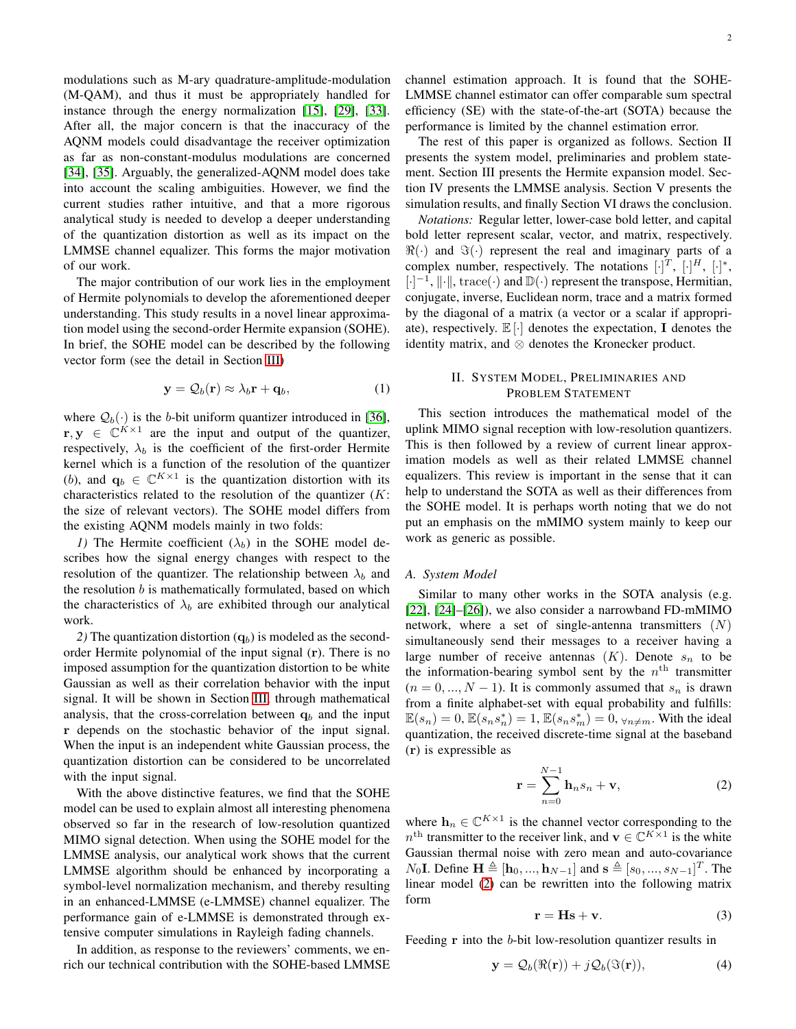modulations such as M-ary quadrature-amplitude-modulation (M-QAM), and thus it must be appropriately handled for instance through the energy normalization [\[15\]](#page-14-10), [\[29\]](#page-14-18), [\[33\]](#page-14-22). After all, the major concern is that the inaccuracy of the AQNM models could disadvantage the receiver optimization as far as non-constant-modulus modulations are concerned [\[34\]](#page-14-23), [\[35\]](#page-14-24). Arguably, the generalized-AQNM model does take into account the scaling ambiguities. However, we find the current studies rather intuitive, and that a more rigorous analytical study is needed to develop a deeper understanding of the quantization distortion as well as its impact on the LMMSE channel equalizer. This forms the major motivation of our work.

The major contribution of our work lies in the employment of Hermite polynomials to develop the aforementioned deeper understanding. This study results in a novel linear approximation model using the second-order Hermite expansion (SOHE). In brief, the SOHE model can be described by the following vector form (see the detail in Section [III\)](#page-3-0)

$$
\mathbf{y} = \mathcal{Q}_b(\mathbf{r}) \approx \lambda_b \mathbf{r} + \mathbf{q}_b, \tag{1}
$$

where  $\mathcal{Q}_b(\cdot)$  is the *b*-bit uniform quantizer introduced in [\[36\]](#page-14-25),  $\mathbf{r}, \mathbf{y} \in \mathbb{C}^{K \times 1}$  are the input and output of the quantizer, respectively,  $\lambda_b$  is the coefficient of the first-order Hermite kernel which is a function of the resolution of the quantizer (b), and  $\mathbf{q}_b \in \mathbb{C}^{K \times 1}$  is the quantization distortion with its characteristics related to the resolution of the quantizer  $(K:$ the size of relevant vectors). The SOHE model differs from the existing AQNM models mainly in two folds:

*1*) The Hermite coefficient  $(\lambda_b)$  in the SOHE model describes how the signal energy changes with respect to the resolution of the quantizer. The relationship between  $\lambda_b$  and the resolution  $b$  is mathematically formulated, based on which the characteristics of  $\lambda_b$  are exhibited through our analytical work.

2) The quantization distortion  $(q_b)$  is modeled as the secondorder Hermite polynomial of the input signal (r). There is no imposed assumption for the quantization distortion to be white Gaussian as well as their correlation behavior with the input signal. It will be shown in Section [III,](#page-3-0) through mathematical analysis, that the cross-correlation between  $q<sub>b</sub>$  and the input r depends on the stochastic behavior of the input signal. When the input is an independent white Gaussian process, the quantization distortion can be considered to be uncorrelated with the input signal.

With the above distinctive features, we find that the SOHE model can be used to explain almost all interesting phenomena observed so far in the research of low-resolution quantized MIMO signal detection. When using the SOHE model for the LMMSE analysis, our analytical work shows that the current LMMSE algorithm should be enhanced by incorporating a symbol-level normalization mechanism, and thereby resulting in an enhanced-LMMSE (e-LMMSE) channel equalizer. The performance gain of e-LMMSE is demonstrated through extensive computer simulations in Rayleigh fading channels.

In addition, as response to the reviewers' comments, we enrich our technical contribution with the SOHE-based LMMSE

channel estimation approach. It is found that the SOHE-LMMSE channel estimator can offer comparable sum spectral efficiency (SE) with the state-of-the-art (SOTA) because the performance is limited by the channel estimation error.

The rest of this paper is organized as follows. Section II presents the system model, preliminaries and problem statement. Section III presents the Hermite expansion model. Section IV presents the LMMSE analysis. Section V presents the simulation results, and finally Section VI draws the conclusion.

*Notations:* Regular letter, lower-case bold letter, and capital bold letter represent scalar, vector, and matrix, respectively.  $\Re(\cdot)$  and  $\Im(\cdot)$  represent the real and imaginary parts of a complex number, respectively. The notations  $[\cdot]^T$ ,  $[\cdot]^H$ ,  $[\cdot]^*$ ,  $[\cdot]^{-1}$ ,  $\|\cdot\|$ , trace $(\cdot)$  and  $\mathbb{D}(\cdot)$  represent the transpose, Hermitian, conjugate, inverse, Euclidean norm, trace and a matrix formed by the diagonal of a matrix (a vector or a scalar if appropriate), respectively.  $\mathbb{E}[\cdot]$  denotes the expectation, I denotes the identity matrix, and ⊗ denotes the Kronecker product.

# <span id="page-1-4"></span>II. SYSTEM MODEL, PRELIMINARIES AND PROBLEM STATEMENT

This section introduces the mathematical model of the uplink MIMO signal reception with low-resolution quantizers. This is then followed by a review of current linear approximation models as well as their related LMMSE channel equalizers. This review is important in the sense that it can help to understand the SOTA as well as their differences from the SOHE model. It is perhaps worth noting that we do not put an emphasis on the mMIMO system mainly to keep our work as generic as possible.

#### <span id="page-1-3"></span>*A. System Model*

Similar to many other works in the SOTA analysis (e.g. [\[22\]](#page-14-15), [\[24\]](#page-14-26)–[\[26\]](#page-14-16)), we also consider a narrowband FD-mMIMO network, where a set of single-antenna transmitters  $(N)$ simultaneously send their messages to a receiver having a large number of receive antennas  $(K)$ . Denote  $s_n$  to be the information-bearing symbol sent by the  $n<sup>th</sup>$  transmitter  $(n = 0, ..., N - 1)$ . It is commonly assumed that  $s_n$  is drawn from a finite alphabet-set with equal probability and fulfills:  $\mathbb{E}(s_n) = 0$ ,  $\mathbb{E}(s_n s_n^*) = 1$ ,  $\mathbb{E}(s_n s_m^*) = 0$ ,  $\forall n \neq m$ . With the ideal quantization, the received discrete-time signal at the baseband (r) is expressible as

<span id="page-1-0"></span>
$$
\mathbf{r} = \sum_{n=0}^{N-1} \mathbf{h}_n s_n + \mathbf{v},\tag{2}
$$

where  $\mathbf{h}_n \in \mathbb{C}^{K \times 1}$  is the channel vector corresponding to the  $n^{\text{th}}$  transmitter to the receiver link, and  $\mathbf{v} \in \mathbb{C}^{K \times 1}$  is the white Gaussian thermal noise with zero mean and auto-covariance  $N_0$ **I**. Define  $\mathbf{H} \triangleq [\mathbf{h}_0, ..., \mathbf{h}_{N-1}]$  and  $\mathbf{s} \triangleq [s_0, ..., s_{N-1}]^T$ . The linear model [\(2\)](#page-1-0) can be rewritten into the following matrix form

<span id="page-1-2"></span>
$$
\mathbf{r} = \mathbf{H}\mathbf{s} + \mathbf{v}.\tag{3}
$$

Feeding **r** into the b-bit low-resolution quantizer results in

<span id="page-1-1"></span>
$$
\mathbf{y} = \mathcal{Q}_b(\Re(\mathbf{r})) + j\mathcal{Q}_b(\Im(\mathbf{r})),\tag{4}
$$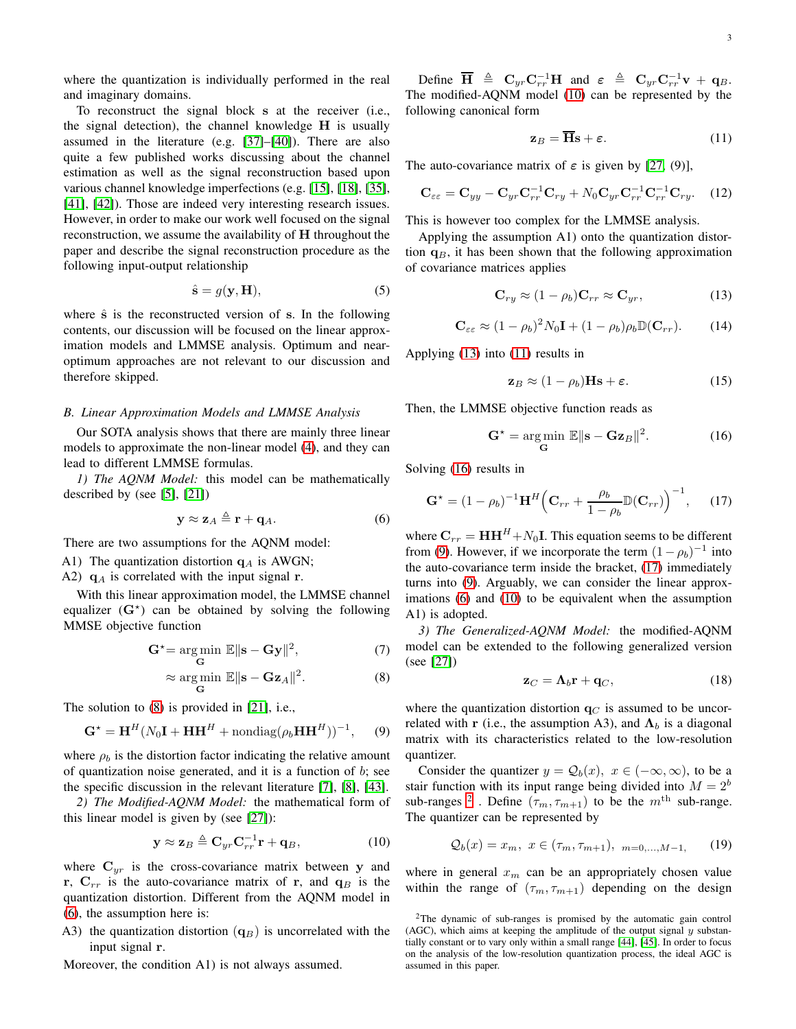where the quantization is individually performed in the real and imaginary domains.

To reconstruct the signal block s at the receiver (i.e., the signal detection), the channel knowledge H is usually assumed in the literature (e.g. [\[37\]](#page-14-27)–[\[40\]](#page-14-28)). There are also quite a few published works discussing about the channel estimation as well as the signal reconstruction based upon various channel knowledge imperfections (e.g. [\[15\]](#page-14-10), [\[18\]](#page-14-12), [\[35\]](#page-14-24), [\[41\]](#page-14-29), [\[42\]](#page-14-30)). Those are indeed very interesting research issues. However, in order to make our work well focused on the signal reconstruction, we assume the availability of H throughout the paper and describe the signal reconstruction procedure as the following input-output relationship

$$
\hat{\mathbf{s}} = g(\mathbf{y}, \mathbf{H}),\tag{5}
$$

where  $\hat{s}$  is the reconstructed version of s. In the following contents, our discussion will be focused on the linear approximation models and LMMSE analysis. Optimum and nearoptimum approaches are not relevant to our discussion and therefore skipped.

### <span id="page-2-12"></span>*B. Linear Approximation Models and LMMSE Analysis*

Our SOTA analysis shows that there are mainly three linear models to approximate the non-linear model [\(4\)](#page-1-1), and they can lead to different LMMSE formulas.

*1) The AQNM Model:* this model can be mathematically described by (see [\[5\]](#page-14-3), [\[21\]](#page-14-14))

<span id="page-2-2"></span>
$$
\mathbf{y} \approx \mathbf{z}_A \triangleq \mathbf{r} + \mathbf{q}_A. \tag{6}
$$

There are two assumptions for the AQNM model:

A1) The quantization distortion  $q_A$  is AWGN;

A2)  $q_A$  is correlated with the input signal r.

With this linear approximation model, the LMMSE channel equalizer  $(G^*)$  can be obtained by solving the following MMSE objective function

$$
\mathbf{G}^* = \underset{\mathbf{G}}{\arg\min} \ \mathbb{E} \|\mathbf{s} - \mathbf{G}\mathbf{y}\|^2, \tag{7}
$$

$$
\approx \underset{\mathbf{G}}{\arg\min} \ \mathbb{E} \|\mathbf{s} - \mathbf{Gz}_A\|^2. \tag{8}
$$

The solution to [\(8\)](#page-2-1) is provided in [\[21\]](#page-14-14), i.e.,

<span id="page-2-7"></span>
$$
\mathbf{G}^{\star} = \mathbf{H}^{H} (N_0 \mathbf{I} + \mathbf{H} \mathbf{H}^{H} + \text{nondiag} (\rho_b \mathbf{H} \mathbf{H}^{H}))^{-1}, \quad (9)
$$

where  $\rho_b$  is the distortion factor indicating the relative amount of quantization noise generated, and it is a function of  $b$ ; see the specific discussion in the relevant literature [\[7\]](#page-14-4), [\[8\]](#page-14-31), [\[43\]](#page-14-32).

<span id="page-2-0"></span>*2) The Modified-AQNM Model:* the mathematical form of this linear model is given by (see [\[27\]](#page-14-17)):

<span id="page-2-3"></span>
$$
\mathbf{y} \approx \mathbf{z}_B \triangleq \mathbf{C}_{yr} \mathbf{C}_{rr}^{-1} \mathbf{r} + \mathbf{q}_B, \tag{10}
$$

where  $C_{yr}$  is the cross-covariance matrix between y and r,  $C_{rr}$  is the auto-covariance matrix of r, and  $q_B$  is the quantization distortion. Different from the AQNM model in [\(6\)](#page-2-2), the assumption here is:

A3) the quantization distortion  $(q_B)$  is uncorrelated with the input signal r.

Moreover, the condition A1) is not always assumed.

Define  $\overline{\mathbf{H}} \triangleq \mathbf{C}_{yr} \mathbf{C}_{rr}^{-1} \mathbf{H}$  and  $\varepsilon \triangleq \mathbf{C}_{yr} \mathbf{C}_{rr}^{-1} \mathbf{v} + \mathbf{q}_B$ . The modified-AQNM model [\(10\)](#page-2-3) can be represented by the following canonical form

<span id="page-2-5"></span>
$$
\mathbf{z}_B = \overline{\mathbf{H}} \mathbf{s} + \boldsymbol{\varepsilon}.\tag{11}
$$

The auto-covariance matrix of  $\varepsilon$  is given by [\[27,](#page-14-17) (9)],

$$
\mathbf{C}_{\varepsilon\varepsilon} = \mathbf{C}_{yy} - \mathbf{C}_{yr} \mathbf{C}_{rr}^{-1} \mathbf{C}_{ry} + N_0 \mathbf{C}_{yr} \mathbf{C}_{rr}^{-1} \mathbf{C}_{rr}^{-1} \mathbf{C}_{ry}. \quad (12)
$$

This is however too complex for the LMMSE analysis.

Applying the assumption A1) onto the quantization distortion  $q_B$ , it has been shown that the following approximation of covariance matrices applies

<span id="page-2-4"></span>
$$
\mathbf{C}_{ry} \approx (1 - \rho_b) \mathbf{C}_{rr} \approx \mathbf{C}_{yr},\tag{13}
$$

<span id="page-2-10"></span>
$$
\mathbf{C}_{\varepsilon\varepsilon} \approx (1 - \rho_b)^2 N_0 \mathbf{I} + (1 - \rho_b) \rho_b \mathbb{D}(\mathbf{C}_{rr}). \tag{14}
$$

Applying [\(13\)](#page-2-4) into [\(11\)](#page-2-5) results in

$$
\mathbf{z}_B \approx (1 - \rho_b) \mathbf{Hs} + \varepsilon. \tag{15}
$$

Then, the LMMSE objective function reads as

<span id="page-2-6"></span>
$$
\mathbf{G}^{\star} = \underset{\mathbf{G}}{\arg\min} \ \mathbb{E} \|\mathbf{s} - \mathbf{Gz}_{B}\|^{2}.
$$
 (16)

Solving [\(16\)](#page-2-6) results in

<span id="page-2-8"></span>
$$
\mathbf{G}^{\star} = (1 - \rho_b)^{-1} \mathbf{H}^H \left( \mathbf{C}_{rr} + \frac{\rho_b}{1 - \rho_b} \mathbb{D}(\mathbf{C}_{rr}) \right)^{-1}, \qquad (17)
$$

where  $C_{rr} = HH^H + N_0I$ . This equation seems to be different from [\(9\)](#page-2-7). However, if we incorporate the term  $(1 - \rho_b)^{-1}$  into the auto-covariance term inside the bracket, [\(17\)](#page-2-8) immediately turns into [\(9\)](#page-2-7). Arguably, we can consider the linear approximations [\(6\)](#page-2-2) and [\(10\)](#page-2-3) to be equivalent when the assumption A1) is adopted.

<span id="page-2-14"></span>*3) The Generalized-AQNM Model:* the modified-AQNM model can be extended to the following generalized version (see [\[27\]](#page-14-17))

<span id="page-2-11"></span>
$$
\mathbf{z}_C = \mathbf{\Lambda}_b \mathbf{r} + \mathbf{q}_C, \tag{18}
$$

<span id="page-2-1"></span>where the quantization distortion  $q_C$  is assumed to be uncorrelated with r (i.e., the assumption A3), and  $\Lambda_b$  is a diagonal matrix with its characteristics related to the low-resolution quantizer.

Consider the quantizer  $y = Q_b(x)$ ,  $x \in (-\infty, \infty)$ , to be a stair function with its input range being divided into  $M = 2<sup>b</sup>$ sub-ranges <sup>[2](#page-2-9)</sup>. Define  $(\tau_m, \tau_{m+1})$  to be the  $m^{\text{th}}$  sub-range. The quantizer can be represented by

<span id="page-2-13"></span>
$$
Q_b(x) = x_m, \ x \in (\tau_m, \tau_{m+1}), \ \_{m=0,\dots,M-1}, \tag{19}
$$

where in general  $x_m$  can be an appropriately chosen value within the range of  $(\tau_m, \tau_{m+1})$  depending on the design

<span id="page-2-9"></span><sup>2</sup>The dynamic of sub-ranges is promised by the automatic gain control (AGC), which aims at keeping the amplitude of the output signal  $y$  substantially constant or to vary only within a small range [\[44\]](#page-14-33), [\[45\]](#page-14-34). In order to focus on the analysis of the low-resolution quantization process, the ideal AGC is assumed in this paper.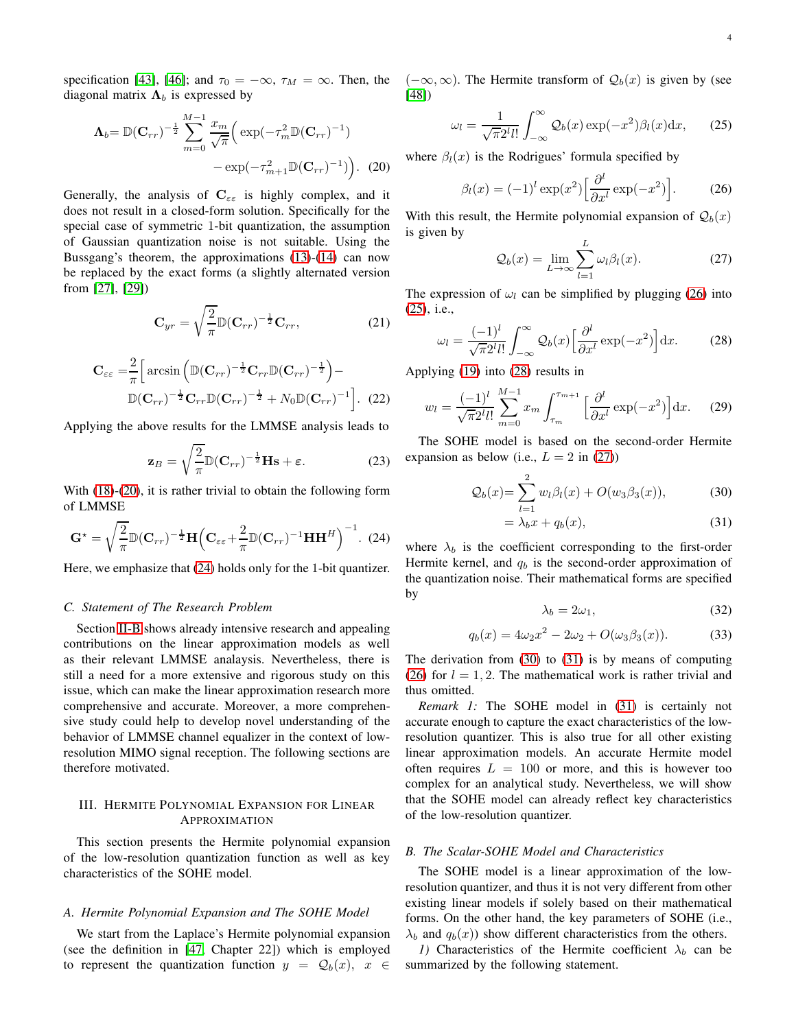specification [\[43\]](#page-14-32), [\[46\]](#page-14-35); and  $\tau_0 = -\infty$ ,  $\tau_M = \infty$ . Then, the diagonal matrix  $\Lambda_b$  is expressed by

$$
\Lambda_b = \mathbb{D}(\mathbf{C}_{rr})^{-\frac{1}{2}} \sum_{m=0}^{M-1} \frac{x_m}{\sqrt{\pi}} \Big( \exp(-\tau_m^2 \mathbb{D}(\mathbf{C}_{rr})^{-1}) - \exp(-\tau_{m+1}^2 \mathbb{D}(\mathbf{C}_{rr})^{-1}) \Big). \tag{20}
$$

Generally, the analysis of  $C_{\epsilon\epsilon}$  is highly complex, and it does not result in a closed-form solution. Specifically for the special case of symmetric 1-bit quantization, the assumption of Gaussian quantization noise is not suitable. Using the Bussgang's theorem, the approximations [\(13\)](#page-2-4)-[\(14\)](#page-2-10) can now be replaced by the exact forms (a slightly alternated version from [\[27\]](#page-14-17), [\[29\]](#page-14-18))

$$
\mathbf{C}_{yr} = \sqrt{\frac{2}{\pi}} \mathbb{D}(\mathbf{C}_{rr})^{-\frac{1}{2}} \mathbf{C}_{rr},\tag{21}
$$

$$
\mathbf{C}_{\varepsilon\varepsilon} = \frac{2}{\pi} \Big[ \arcsin \Big( \mathbb{D}(\mathbf{C}_{rr})^{-\frac{1}{2}} \mathbf{C}_{rr} \mathbb{D}(\mathbf{C}_{rr})^{-\frac{1}{2}} \Big) -
$$

$$
\mathbb{D}(\mathbf{C}_{rr})^{-\frac{1}{2}} \mathbf{C}_{rr} \mathbb{D}(\mathbf{C}_{rr})^{-\frac{1}{2}} + N_0 \mathbb{D}(\mathbf{C}_{rr})^{-1} \Big]. \tag{22}
$$

Applying the above results for the LMMSE analysis leads to

$$
\mathbf{z}_B = \sqrt{\frac{2}{\pi}} \mathbb{D}(\mathbf{C}_{rr})^{-\frac{1}{2}} \mathbf{H}\mathbf{s} + \varepsilon.
$$
 (23)

With [\(18\)](#page-2-11)-[\(20\)](#page-3-1), it is rather trivial to obtain the following form of LMMSE

<span id="page-3-2"></span>
$$
\mathbf{G}^{\star} = \sqrt{\frac{2}{\pi}} \mathbb{D}(\mathbf{C}_{rr})^{-\frac{1}{2}} \mathbf{H} \left( \mathbf{C}_{\varepsilon\varepsilon} + \frac{2}{\pi} \mathbb{D}(\mathbf{C}_{rr})^{-1} \mathbf{H} \mathbf{H}^H \right)^{-1}.
$$
 (24)

Here, we emphasize that [\(24\)](#page-3-2) holds only for the 1-bit quantizer.

### *C. Statement of The Research Problem*

Section [II-B](#page-2-12) shows already intensive research and appealing contributions on the linear approximation models as well as their relevant LMMSE analaysis. Nevertheless, there is still a need for a more extensive and rigorous study on this issue, which can make the linear approximation research more comprehensive and accurate. Moreover, a more comprehensive study could help to develop novel understanding of the behavior of LMMSE channel equalizer in the context of lowresolution MIMO signal reception. The following sections are therefore motivated.

## <span id="page-3-0"></span>III. HERMITE POLYNOMIAL EXPANSION FOR LINEAR APPROXIMATION

This section presents the Hermite polynomial expansion of the low-resolution quantization function as well as key characteristics of the SOHE model.

### *A. Hermite Polynomial Expansion and The SOHE Model*

We start from the Laplace's Hermite polynomial expansion (see the definition in [\[47,](#page-14-36) Chapter 22]) which is employed to represent the quantization function  $y = Q_b(x)$ ,  $x \in$   $(-\infty, \infty)$ . The Hermite transform of  $\mathcal{Q}_b(x)$  is given by (see [\[48\]](#page-14-37))

<span id="page-3-4"></span>
$$
\omega_l = \frac{1}{\sqrt{\pi}2^l l!} \int_{-\infty}^{\infty} \mathcal{Q}_b(x) \exp(-x^2) \beta_l(x) \mathrm{d}x, \qquad (25)
$$

<span id="page-3-1"></span>where  $\beta_l(x)$  is the Rodrigues' formula specified by

<span id="page-3-3"></span>
$$
\beta_l(x) = (-1)^l \exp(x^2) \left[ \frac{\partial^l}{\partial x^l} \exp(-x^2) \right].
$$
 (26)

With this result, the Hermite polynomial expansion of  $\mathcal{Q}_b(x)$ is given by

<span id="page-3-6"></span>
$$
\mathcal{Q}_b(x) = \lim_{L \to \infty} \sum_{l=1}^L \omega_l \beta_l(x). \tag{27}
$$

The expression of  $\omega_l$  can be simplified by plugging [\(26\)](#page-3-3) into [\(25\)](#page-3-4), i.e.,

<span id="page-3-5"></span>
$$
\omega_l = \frac{(-1)^l}{\sqrt{\pi} 2^l l!} \int_{-\infty}^{\infty} \mathcal{Q}_b(x) \left[ \frac{\partial^l}{\partial x^l} \exp(-x^2) \right] dx.
$$
 (28)

Applying [\(19\)](#page-2-13) into [\(28\)](#page-3-5) results in

<span id="page-3-9"></span>
$$
w_l = \frac{(-1)^l}{\sqrt{\pi}2^l l!} \sum_{m=0}^{M-1} x_m \int_{\tau_m}^{\tau_{m+1}} \left[ \frac{\partial^l}{\partial x^l} \exp(-x^2) \right] dx. \tag{29}
$$

The SOHE model is based on the second-order Hermite expansion as below (i.e.,  $L = 2$  in [\(27\)](#page-3-6))

$$
Q_b(x) = \sum_{l=1}^{2} w_l \beta_l(x) + O(w_3 \beta_3(x)),
$$
 (30)

$$
= \lambda_b x + q_b(x), \tag{31}
$$

where  $\lambda_b$  is the coefficient corresponding to the first-order Hermite kernel, and  $q_b$  is the second-order approximation of the quantization noise. Their mathematical forms are specified by

<span id="page-3-11"></span><span id="page-3-8"></span><span id="page-3-7"></span>
$$
\lambda_b = 2\omega_1,\tag{32}
$$

<span id="page-3-12"></span>
$$
q_b(x) = 4\omega_2 x^2 - 2\omega_2 + O(\omega_3 \beta_3(x)).
$$
 (33)

The derivation from [\(30\)](#page-3-7) to [\(31\)](#page-3-8) is by means of computing [\(26\)](#page-3-3) for  $l = 1, 2$ . The mathematical work is rather trivial and thus omitted.

*Remark 1:* The SOHE model in [\(31\)](#page-3-8) is certainly not accurate enough to capture the exact characteristics of the lowresolution quantizer. This is also true for all other existing linear approximation models. An accurate Hermite model often requires  $L = 100$  or more, and this is however too complex for an analytical study. Nevertheless, we will show that the SOHE model can already reflect key characteristics of the low-resolution quantizer.

## *B. The Scalar-SOHE Model and Characteristics*

The SOHE model is a linear approximation of the lowresolution quantizer, and thus it is not very different from other existing linear models if solely based on their mathematical forms. On the other hand, the key parameters of SOHE (i.e.,  $\lambda_b$  and  $q_b(x)$ ) show different characteristics from the others.

<span id="page-3-10"></span>*1)* Characteristics of the Hermite coefficient  $\lambda_b$  can be summarized by the following statement.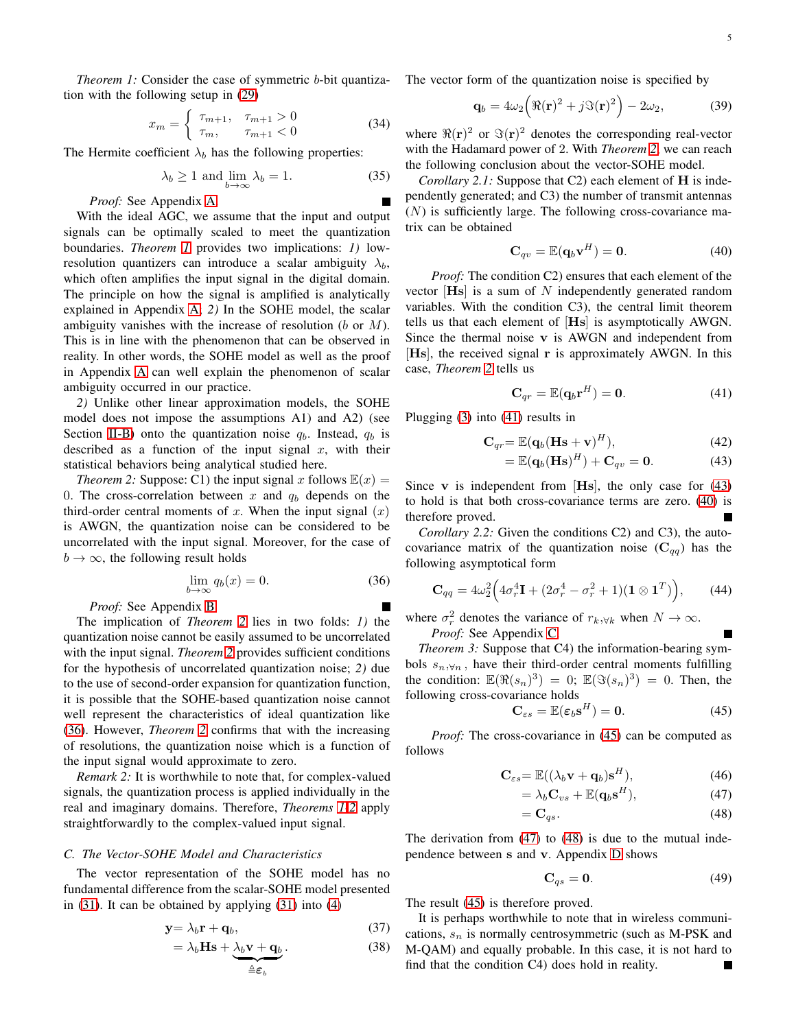*Theorem 1:* Consider the case of symmetric *b*-bit quantization with the following setup in [\(29\)](#page-3-9)

<span id="page-4-14"></span>
$$
x_m = \begin{cases} \tau_{m+1}, & \tau_{m+1} > 0 \\ \tau_m, & \tau_{m+1} < 0 \end{cases}
$$
 (34)

The Hermite coefficient  $\lambda_b$  has the following properties:

$$
\lambda_b \ge 1 \text{ and } \lim_{b \to \infty} \lambda_b = 1. \tag{35}
$$

*Proof:* See Appendix [A.](#page-11-0)

With the ideal AGC, we assume that the input and output signals can be optimally scaled to meet the quantization boundaries. *Theorem [1](#page-3-10)* provides two implications: *1)* lowresolution quantizers can introduce a scalar ambiguity  $\lambda_b$ , which often amplifies the input signal in the digital domain. The principle on how the signal is amplified is analytically explained in Appendix [A;](#page-11-0) *2)* In the SOHE model, the scalar ambiguity vanishes with the increase of resolution  $(b \text{ or } M)$ . This is in line with the phenomenon that can be observed in reality. In other words, the SOHE model as well as the proof in Appendix [A](#page-11-0) can well explain the phenomenon of scalar ambiguity occurred in our practice.

*2)* Unlike other linear approximation models, the SOHE model does not impose the assumptions A1) and A2) (see Section [II-B\)](#page-2-12) onto the quantization noise  $q_b$ . Instead,  $q_b$  is described as a function of the input signal  $x$ , with their statistical behaviors being analytical studied here.

*Theorem 2:* Suppose: C1) the input signal x follows  $\mathbb{E}(x) =$ 0. The cross-correlation between x and  $q_b$  depends on the third-order central moments of x. When the input signal  $(x)$ is AWGN, the quantization noise can be considered to be uncorrelated with the input signal. Moreover, for the case of  $b \to \infty$ , the following result holds

<span id="page-4-1"></span>
$$
\lim_{b \to \infty} q_b(x) = 0. \tag{36}
$$

*Proof:* See Appendix [B.](#page-12-0)

The implication of *Theorem [2](#page-4-0)* lies in two folds: *1)* the quantization noise cannot be easily assumed to be uncorrelated with the input signal. *Theorem [2](#page-4-0)* provides sufficient conditions for the hypothesis of uncorrelated quantization noise; *2)* due to the use of second-order expansion for quantization function, it is possible that the SOHE-based quantization noise cannot well represent the characteristics of ideal quantization like [\(36\)](#page-4-1). However, *Theorem [2](#page-4-0)* confirms that with the increasing of resolutions, the quantization noise which is a function of the input signal would approximate to zero.

*Remark 2:* It is worthwhile to note that, for complex-valued signals, the quantization process is applied individually in the real and imaginary domains. Therefore, *Theorems [1](#page-3-10)[-2](#page-4-0)* apply straightforwardly to the complex-valued input signal.

#### *C. The Vector-SOHE Model and Characteristics*

The vector representation of the SOHE model has no fundamental difference from the scalar-SOHE model presented in [\(31\)](#page-3-8). It can be obtained by applying [\(31\)](#page-3-8) into [\(4\)](#page-1-1)

$$
y = \lambda_b r + q_b, \tag{37}
$$

$$
= \lambda_b \mathbf{Hs} + \underbrace{\lambda_b \mathbf{v} + \mathbf{q}_b}_{\triangleq \varepsilon_b}.
$$
 (38)

The vector form of the quantization noise is specified by

<span id="page-4-15"></span>
$$
\mathbf{q}_b = 4\omega_2 \left( \Re(\mathbf{r})^2 + j \Im(\mathbf{r})^2 \right) - 2\omega_2, \tag{39}
$$

where  $\Re(\mathbf{r})^2$  or  $\Im(\mathbf{r})^2$  denotes the corresponding real-vector with the Hadamard power of 2. With *Theorem [2](#page-4-0)*, we can reach the following conclusion about the vector-SOHE model.

<span id="page-4-8"></span>*Corollary 2.1:* Suppose that C2) each element of **H** is independently generated; and C3) the number of transmit antennas  $(N)$  is sufficiently large. The following cross-covariance matrix can be obtained

<span id="page-4-4"></span>
$$
\mathbf{C}_{qv} = \mathbb{E}(\mathbf{q}_b \mathbf{v}^H) = \mathbf{0}.\tag{40}
$$

*Proof:* The condition C2) ensures that each element of the vector  $[Hs]$  is a sum of N independently generated random variables. With the condition C3), the central limit theorem tells us that each element of [Hs] is asymptotically AWGN. Since the thermal noise v is AWGN and independent from [Hs], the received signal r is approximately AWGN. In this case, *Theorem [2](#page-4-0)* tells us

<span id="page-4-3"></span><span id="page-4-2"></span>
$$
\mathbf{C}_{qr} = \mathbb{E}(\mathbf{q}_b \mathbf{r}^H) = \mathbf{0}.\tag{41}
$$

Plugging [\(3\)](#page-1-2) into [\(41\)](#page-4-2) results in

$$
\mathbf{C}_{qr} = \mathbb{E}(\mathbf{q}_b(\mathbf{H}\mathbf{s} + \mathbf{v})^H), \tag{42}
$$

$$
= \mathbb{E}(\mathbf{q}_b(\mathbf{H}\mathbf{s})^H) + \mathbf{C}_{qv} = \mathbf{0}.
$$
 (43)

<span id="page-4-0"></span>Since v is independent from  $[**His**]$ , the only case for  $(43)$ to hold is that both cross-covariance terms are zero. [\(40\)](#page-4-4) is therefore proved.

<span id="page-4-9"></span>*Corollary 2.2:* Given the conditions C2) and C3), the autocovariance matrix of the quantization noise  $(C_{qq})$  has the following asymptotical form

<span id="page-4-13"></span>
$$
\mathbf{C}_{qq} = 4\omega_2^2 \Big( 4\sigma_r^4 \mathbf{I} + (2\sigma_r^4 - \sigma_r^2 + 1)(\mathbf{1} \otimes \mathbf{1}^T) \Big), \qquad (44)
$$

where  $\sigma_r^2$  denotes the variance of  $r_{k, \forall k}$  when  $N \to \infty$ .

<span id="page-4-10"></span>*Proof:* See Appendix [C.](#page-12-1)

*Theorem 3:* Suppose that C4) the information-bearing symbols  $s_n, \forall n$ , have their third-order central moments fulfilling the condition:  $\mathbb{E}(\Re(s_n)^3) = 0$ ;  $\mathbb{E}(\Im(s_n)^3) = 0$ . Then, the following cross-covariance holds

<span id="page-4-5"></span>
$$
\mathbf{C}_{\varepsilon s} = \mathbb{E}(\varepsilon_b \mathbf{s}^H) = \mathbf{0}.\tag{45}
$$

*Proof:* The cross-covariance in [\(45\)](#page-4-5) can be computed as follows

$$
\mathbf{C}_{\varepsilon s} = \mathbb{E}((\lambda_b \mathbf{v} + \mathbf{q}_b) \mathbf{s}^H), \tag{46}
$$

$$
=\lambda_b \mathbf{C}_{vs} + \mathbb{E}(\mathbf{q}_b \mathbf{s}^H),\tag{47}
$$

$$
=\mathbf{C}_{qs}.\tag{48}
$$

The derivation from [\(47\)](#page-4-6) to [\(48\)](#page-4-7) is due to the mutual independence between s and v. Appendix [D](#page-13-1) shows

<span id="page-4-16"></span><span id="page-4-7"></span><span id="page-4-6"></span>
$$
\mathbf{C}_{qs} = \mathbf{0}.\tag{49}
$$

The result [\(45\)](#page-4-5) is therefore proved.

<span id="page-4-12"></span><span id="page-4-11"></span>It is perhaps worthwhile to note that in wireless communications,  $s_n$  is normally centrosymmetric (such as M-PSK and M-QAM) and equally probable. In this case, it is not hard to find that the condition C4) does hold in reality.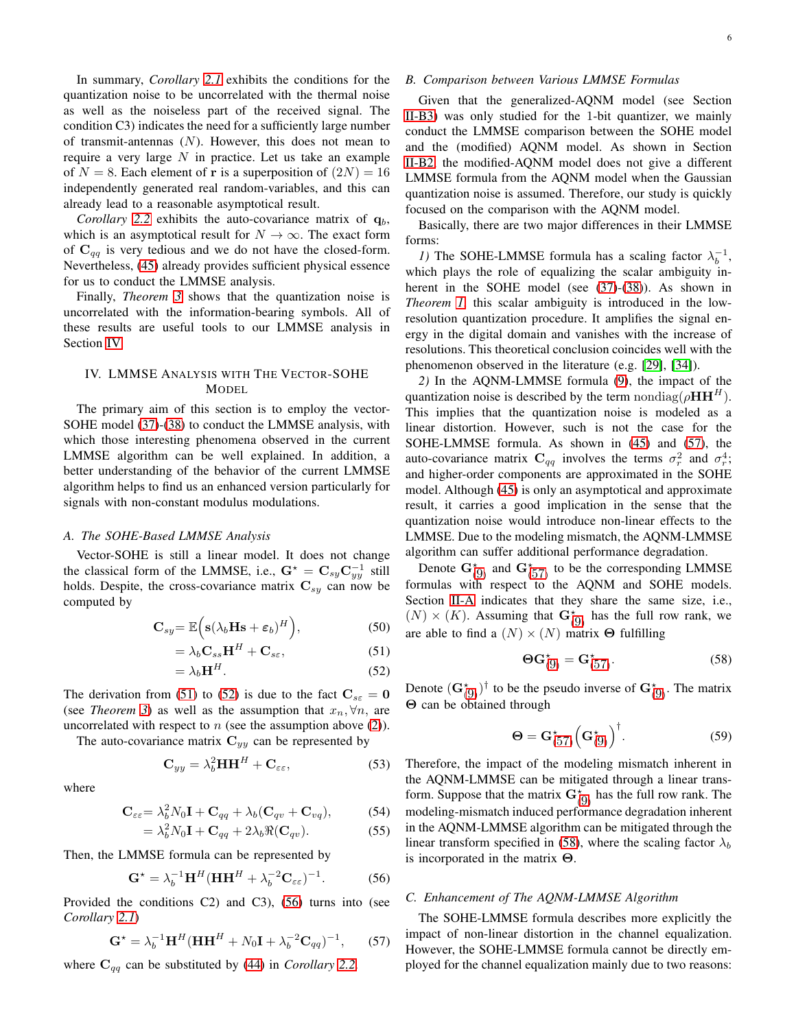In summary, *Corollary [2.1](#page-4-8)* exhibits the conditions for the quantization noise to be uncorrelated with the thermal noise as well as the noiseless part of the received signal. The condition C3) indicates the need for a sufficiently large number of transmit-antennas  $(N)$ . However, this does not mean to require a very large  $N$  in practice. Let us take an example of  $N = 8$ . Each element of r is a superposition of  $(2N) = 16$ independently generated real random-variables, and this can already lead to a reasonable asymptotical result.

*Corollary* [2.2](#page-4-9) exhibits the auto-covariance matrix of  $q<sub>b</sub>$ , which is an asymptotical result for  $N \to \infty$ . The exact form of  $C_{qq}$  is very tedious and we do not have the closed-form. Nevertheless, [\(45\)](#page-4-5) already provides sufficient physical essence for us to conduct the LMMSE analysis.

Finally, *Theorem [3](#page-4-10)* shows that the quantization noise is uncorrelated with the information-bearing symbols. All of these results are useful tools to our LMMSE analysis in Section [IV.](#page-5-0)

# <span id="page-5-0"></span>IV. LMMSE ANALYSIS WITH THE VECTOR-SOHE **MODEL**

The primary aim of this section is to employ the vector-SOHE model [\(37\)](#page-4-11)-[\(38\)](#page-4-12) to conduct the LMMSE analysis, with which those interesting phenomena observed in the current LMMSE algorithm can be well explained. In addition, a better understanding of the behavior of the current LMMSE algorithm helps to find us an enhanced version particularly for signals with non-constant modulus modulations.

## *A. The SOHE-Based LMMSE Analysis*

Vector-SOHE is still a linear model. It does not change the classical form of the LMMSE, i.e.,  $G^* = C_{sy}C_{yy}^{-1}$  still holds. Despite, the cross-covariance matrix  $C_{sy}$  can now be computed by

$$
\mathbf{C}_{sy} = \mathbb{E}\Big(\mathbf{s}(\lambda_b \mathbf{Hs} + \varepsilon_b)^H\Big),\tag{50}
$$

$$
=\lambda_b \mathbf{C}_{ss} \mathbf{H}^H + \mathbf{C}_{s\varepsilon},\tag{51}
$$

$$
=\lambda_b \mathbf{H}^H. \tag{52}
$$

The derivation from [\(51\)](#page-5-1) to [\(52\)](#page-5-2) is due to the fact  $C_{s\epsilon} = 0$ (see *Theorem [3](#page-4-10)*) as well as the assumption that  $x_n, \forall n$ , are uncorrelated with respect to  $n$  (see the assumption above  $(2)$ ).

The auto-covariance matrix  $C_{yy}$  can be represented by

$$
\mathbf{C}_{yy} = \lambda_b^2 \mathbf{H} \mathbf{H}^H + \mathbf{C}_{\varepsilon\varepsilon},\tag{53}
$$

where

$$
\mathbf{C}_{\varepsilon\varepsilon} = \lambda_b^2 N_0 \mathbf{I} + \mathbf{C}_{qq} + \lambda_b (\mathbf{C}_{qv} + \mathbf{C}_{vq}), \tag{54}
$$

$$
= \lambda_b^2 N_0 \mathbf{I} + \mathbf{C}_{qq} + 2\lambda_b \Re(\mathbf{C}_{qv}). \tag{55}
$$

Then, the LMMSE formula can be represented by

<span id="page-5-3"></span>
$$
\mathbf{G}^{\star} = \lambda_b^{-1} \mathbf{H}^H (\mathbf{H} \mathbf{H}^H + \lambda_b^{-2} \mathbf{C}_{\varepsilon \varepsilon})^{-1}.
$$
 (56)

Provided the conditions C2) and C3), [\(56\)](#page-5-3) turns into (see *Corollary [2.1](#page-4-8)*)

<span id="page-5-4"></span>
$$
\mathbf{G}^{\star} = \lambda_b^{-1} \mathbf{H}^H (\mathbf{H} \mathbf{H}^H + N_0 \mathbf{I} + \lambda_b^{-2} \mathbf{C}_{qq})^{-1}, \qquad (57)
$$

where  $C_{qq}$  can be substituted by [\(44\)](#page-4-13) in *Corollary* [2.2](#page-4-9).

# *B. Comparison between Various LMMSE Formulas*

Given that the generalized-AQNM model (see Section [II-B3\)](#page-2-14) was only studied for the 1-bit quantizer, we mainly conduct the LMMSE comparison between the SOHE model and the (modified) AQNM model. As shown in Section [II-B2,](#page-2-0) the modified-AQNM model does not give a different LMMSE formula from the AQNM model when the Gaussian quantization noise is assumed. Therefore, our study is quickly focused on the comparison with the AQNM model.

Basically, there are two major differences in their LMMSE forms:

*1*) The SOHE-LMMSE formula has a scaling factor  $\lambda_b^{-1}$ , which plays the role of equalizing the scalar ambiguity inherent in the SOHE model (see [\(37\)](#page-4-11)-[\(38\)](#page-4-12)). As shown in *Theorem [1](#page-3-10)*, this scalar ambiguity is introduced in the lowresolution quantization procedure. It amplifies the signal energy in the digital domain and vanishes with the increase of resolutions. This theoretical conclusion coincides well with the phenomenon observed in the literature (e.g. [\[29\]](#page-14-18), [\[34\]](#page-14-23)).

*2)* In the AQNM-LMMSE formula [\(9\)](#page-2-7), the impact of the quantization noise is described by the term nondiag( $\rho H H^H$ ). This implies that the quantization noise is modeled as a linear distortion. However, such is not the case for the SOHE-LMMSE formula. As shown in [\(45\)](#page-4-5) and [\(57\)](#page-5-4), the auto-covariance matrix  $C_{qq}$  involves the terms  $\sigma_r^2$  and  $\sigma_r^4$ ; and higher-order components are approximated in the SOHE model. Although [\(45\)](#page-4-5) is only an asymptotical and approximate result, it carries a good implication in the sense that the quantization noise would introduce non-linear effects to the LMMSE. Due to the modeling mismatch, the AQNM-LMMSE algorithm can suffer additional performance degradation.

Denote  $\mathbf{G}_{(9)}^{\star}$  $\mathbf{G}_{(9)}^{\star}$  $\mathbf{G}_{(9)}^{\star}$  and  $\mathbf{G}_{(57)}^{\star}$  $\mathbf{G}_{(57)}^{\star}$  $\mathbf{G}_{(57)}^{\star}$  to be the corresponding LMMSE formulas with respect to the AQNM and SOHE models. Section [II-A](#page-1-3) indicates that they share the same size, i.e.,  $(N) \times (K)$ . Assuming that  $\mathbf{G}_{(9)}^{\star}$  $\mathbf{G}_{(9)}^{\star}$  $\mathbf{G}_{(9)}^{\star}$  has the full row rank, we are able to find a  $(N) \times (N)$  matrix  $\Theta$  fulfilling

<span id="page-5-5"></span>
$$
\mathbf{\Theta} \mathbf{G}_{(9)}^{\star} = \mathbf{G}_{(57)}^{\star}.
$$
 (58)

<span id="page-5-2"></span><span id="page-5-1"></span>Denote  $(\mathbf{G}_{(9)}^{\star})^{\dagger}$  $(\mathbf{G}_{(9)}^{\star})^{\dagger}$  $(\mathbf{G}_{(9)}^{\star})^{\dagger}$  to be the pseudo inverse of  $\mathbf{G}_{(9)}^{\star}$ . The matrix Θ can be obtained through

<span id="page-5-6"></span>
$$
\mathbf{\Theta} = \mathbf{G}^{\star}_{(57)} \Big( \mathbf{G}^{\star}_{(9)} \Big)^{\dagger} . \tag{59}
$$

Therefore, the impact of the modeling mismatch inherent in the AQNM-LMMSE can be mitigated through a linear transform. Suppose that the matrix  $\mathbf{G}_{(9)}^{\star}$  $\mathbf{G}_{(9)}^{\star}$  $\mathbf{G}_{(9)}^{\star}$  has the full row rank. The modeling-mismatch induced performance degradation inherent in the AQNM-LMMSE algorithm can be mitigated through the linear transform specified in [\(58\)](#page-5-5), where the scaling factor  $\lambda_b$ is incorporated in the matrix  $\Theta$ .

#### *C. Enhancement of The AQNM-LMMSE Algorithm*

The SOHE-LMMSE formula describes more explicitly the impact of non-linear distortion in the channel equalization. However, the SOHE-LMMSE formula cannot be directly employed for the channel equalization mainly due to two reasons: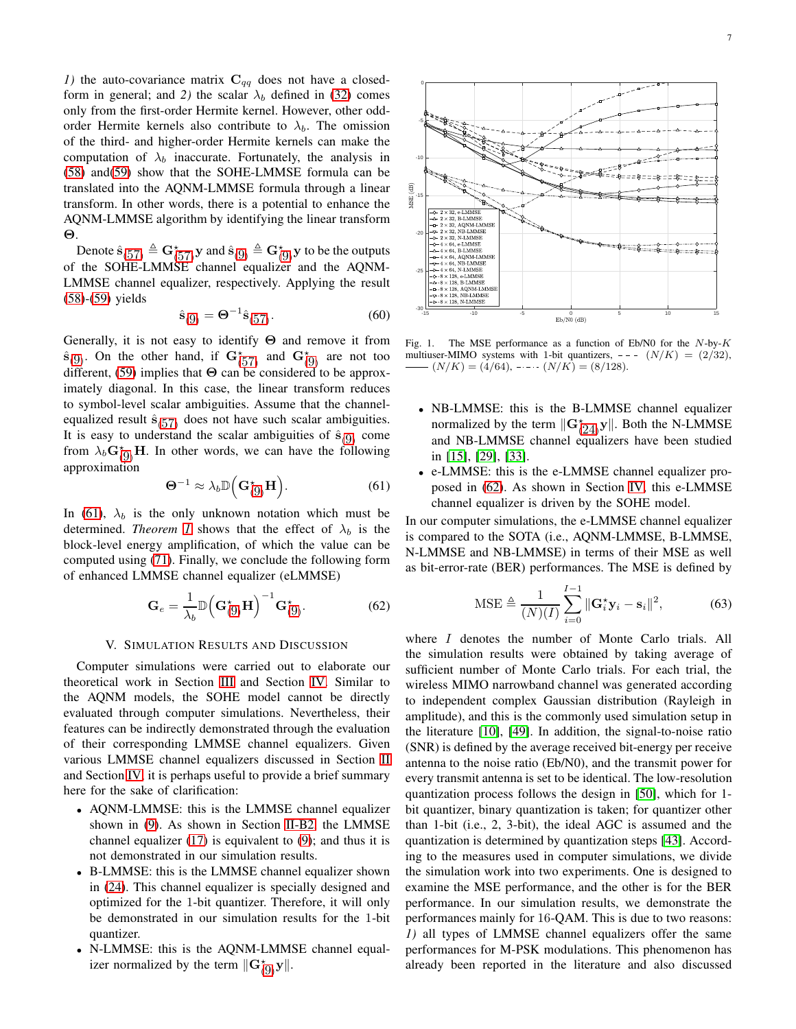*1)* the auto-covariance matrix  $C_{qq}$  does not have a closedform in general; and 2) the scalar  $\lambda_b$  defined in [\(32\)](#page-3-11) comes only from the first-order Hermite kernel. However, other oddorder Hermite kernels also contribute to  $\lambda_b$ . The omission of the third- and higher-order Hermite kernels can make the computation of  $\lambda_b$  inaccurate. Fortunately, the analysis in [\(58\)](#page-5-5) and[\(59\)](#page-5-6) show that the SOHE-LMMSE formula can be translated into the AQNM-LMMSE formula through a linear transform. In other words, there is a potential to enhance the AQNM-LMMSE algorithm by identifying the linear transform Θ.

Denote  $\hat{\mathbf{s}}_{(57)} \triangleq \mathbf{G}^{\star}_{(57)} \mathbf{y}$  $\hat{\mathbf{s}}_{(57)} \triangleq \mathbf{G}^{\star}_{(57)} \mathbf{y}$  $\hat{\mathbf{s}}_{(57)} \triangleq \mathbf{G}^{\star}_{(57)} \mathbf{y}$  and  $\hat{\mathbf{s}}_{(9)} \triangleq \mathbf{G}^{\star}_{(9)} \mathbf{y}$  $\hat{\mathbf{s}}_{(9)} \triangleq \mathbf{G}^{\star}_{(9)} \mathbf{y}$  $\hat{\mathbf{s}}_{(9)} \triangleq \mathbf{G}^{\star}_{(9)} \mathbf{y}$  to be the outputs of the SOHE-LMMSE channel equalizer and the AQNM-LMMSE channel equalizer, respectively. Applying the result [\(58\)](#page-5-5)-[\(59\)](#page-5-6) yields

$$
\hat{\mathbf{s}}_{(9)} = \mathbf{\Theta}^{-1} \hat{\mathbf{s}}_{(57)}.
$$
 (60)

Generally, it is not easy to identify Θ and remove it from  $\hat{\mathbf{s}}_{(9)}$  $\hat{\mathbf{s}}_{(9)}$  $\hat{\mathbf{s}}_{(9)}$ . On the other hand, if  $\mathbf{G}^{\star}_{(57)}$  $\mathbf{G}^{\star}_{(57)}$  $\mathbf{G}^{\star}_{(57)}$  and  $\mathbf{G}^{\star}_{(9)}$  are not too different, [\(59\)](#page-5-6) implies that  $\Theta$  can be considered to be approximately diagonal. In this case, the linear transform reduces to symbol-level scalar ambiguities. Assume that the channelequalized result  $\hat{\mathbf{s}}_{(57)}$  $\hat{\mathbf{s}}_{(57)}$  $\hat{\mathbf{s}}_{(57)}$  does not have such scalar ambiguities. It is easy to understand the scalar ambiguities of  $\hat{\mathbf{s}}_{(9)}$  $\hat{\mathbf{s}}_{(9)}$  $\hat{\mathbf{s}}_{(9)}$  come from  $\lambda_b \mathbf{G}_{(9)}^{\star}$  $\lambda_b \mathbf{G}_{(9)}^{\star}$  $\lambda_b \mathbf{G}_{(9)}^{\star}$ **H**. In other words, we can have the following approximation

<span id="page-6-0"></span>
$$
\mathbf{\Theta}^{-1} \approx \lambda_b \mathbb{D}\Big(\mathbf{G}_{(9)}^{\star} \mathbf{H}\Big). \tag{61}
$$

In [\(61\)](#page-6-0),  $\lambda_b$  is the only unknown notation which must be determined. *Theorem [1](#page-3-10)* shows that the effect of  $\lambda_b$  is the block-level energy amplification, of which the value can be computed using [\(71\)](#page-11-1). Finally, we conclude the following form of enhanced LMMSE channel equalizer (eLMMSE)

<span id="page-6-1"></span>
$$
\mathbf{G}_e = \frac{1}{\lambda_b} \mathbb{D} \left( \mathbf{G}_{(9)}^{\star} \mathbf{H} \right)^{-1} \mathbf{G}_{(9)}^{\star}.
$$
 (62)

## V. SIMULATION RESULTS AND DISCUSSION

<span id="page-6-3"></span>Computer simulations were carried out to elaborate our theoretical work in Section [III](#page-3-0) and Section [IV.](#page-5-0) Similar to the AQNM models, the SOHE model cannot be directly evaluated through computer simulations. Nevertheless, their features can be indirectly demonstrated through the evaluation of their corresponding LMMSE channel equalizers. Given various LMMSE channel equalizers discussed in Section [II](#page-1-4) and Section [IV,](#page-5-0) it is perhaps useful to provide a brief summary here for the sake of clarification:

- AQNM-LMMSE: this is the LMMSE channel equalizer shown in [\(9\)](#page-2-7). As shown in Section [II-B2,](#page-2-0) the LMMSE channel equalizer  $(17)$  is equivalent to  $(9)$ ; and thus it is not demonstrated in our simulation results.
- B-LMMSE: this is the LMMSE channel equalizer shown in [\(24\)](#page-3-2). This channel equalizer is specially designed and optimized for the 1-bit quantizer. Therefore, it will only be demonstrated in our simulation results for the 1-bit quantizer.
- N-LMMSE: this is the AQNM-LMMSE channel equalizer normalized by the term  $\|\mathbf{G}_{(9)}^{\star}\mathbf{y}\|$  $\|\mathbf{G}_{(9)}^{\star}\mathbf{y}\|$  $\|\mathbf{G}_{(9)}^{\star}\mathbf{y}\|$ .



<span id="page-6-2"></span>Fig. 1. The MSE performance as a function of Eb/N0 for the  $N$ -by- $K$ multiuser-MIMO systems with 1-bit quantizers,  $--- (N/K) = (2/32)$ ,  $(N/K) = (4/64), \cdots (N/K) = (8/128).$ 

- NB-LMMSE: this is the B-LMMSE channel equalizer normalized by the term  $\|\mathbf{G}_{(24)}^{\star}\mathbf{y}\|$  $\|\mathbf{G}_{(24)}^{\star}\mathbf{y}\|$  $\|\mathbf{G}_{(24)}^{\star}\mathbf{y}\|$ . Both the N-LMMSE and NB-LMMSE channel equalizers have been studied in [\[15\]](#page-14-10), [\[29\]](#page-14-18), [\[33\]](#page-14-22).
- e-LMMSE: this is the e-LMMSE channel equalizer proposed in [\(62\)](#page-6-1). As shown in Section [IV,](#page-5-0) this e-LMMSE channel equalizer is driven by the SOHE model.

In our computer simulations, the e-LMMSE channel equalizer is compared to the SOTA (i.e., AQNM-LMMSE, B-LMMSE, N-LMMSE and NB-LMMSE) in terms of their MSE as well as bit-error-rate (BER) performances. The MSE is defined by

$$
\text{MSE} \triangleq \frac{1}{(N)(I)} \sum_{i=0}^{I-1} ||\mathbf{G}_i^* \mathbf{y}_i - \mathbf{s}_i||^2, \tag{63}
$$

where *I* denotes the number of Monte Carlo trials. All the simulation results were obtained by taking average of sufficient number of Monte Carlo trials. For each trial, the wireless MIMO narrowband channel was generated according to independent complex Gaussian distribution (Rayleigh in amplitude), and this is the commonly used simulation setup in the literature [\[10\]](#page-14-6), [\[49\]](#page-14-38). In addition, the signal-to-noise ratio (SNR) is defined by the average received bit-energy per receive antenna to the noise ratio (Eb/N0), and the transmit power for every transmit antenna is set to be identical. The low-resolution quantization process follows the design in [\[50\]](#page-14-39), which for 1 bit quantizer, binary quantization is taken; for quantizer other than 1-bit (i.e., 2, 3-bit), the ideal AGC is assumed and the quantization is determined by quantization steps [\[43\]](#page-14-32). According to the measures used in computer simulations, we divide the simulation work into two experiments. One is designed to examine the MSE performance, and the other is for the BER performance. In our simulation results, we demonstrate the performances mainly for 16-QAM. This is due to two reasons: *1)* all types of LMMSE channel equalizers offer the same performances for M-PSK modulations. This phenomenon has already been reported in the literature and also discussed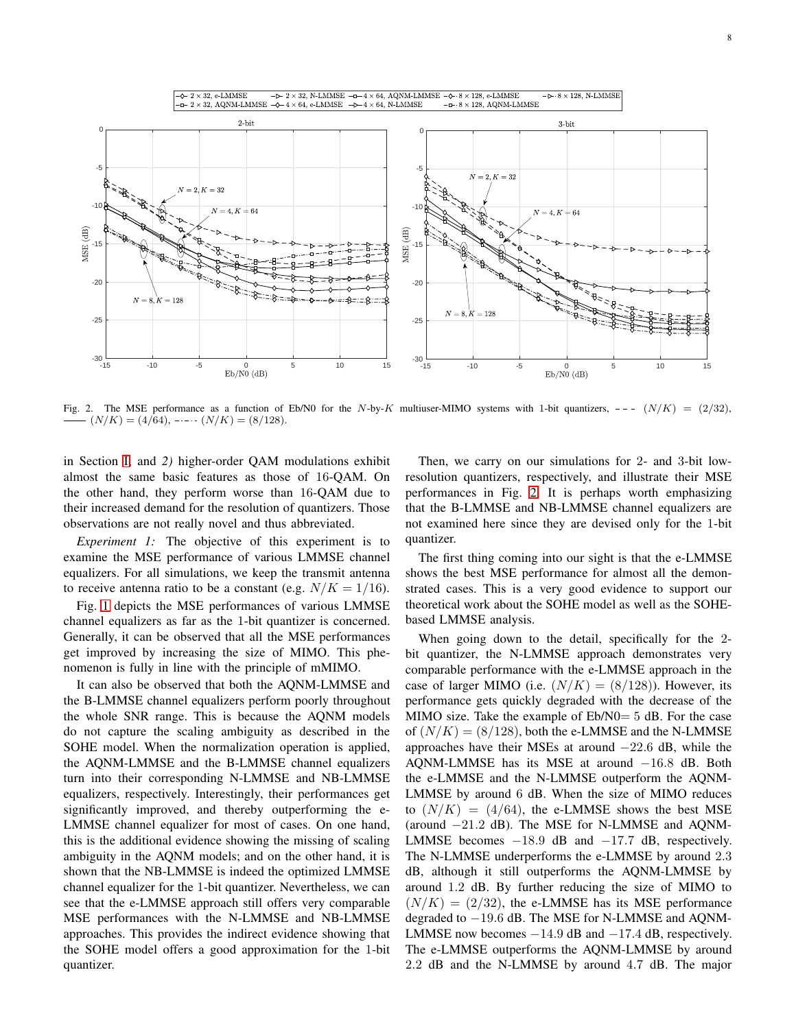

<span id="page-7-0"></span>Fig. 2. The MSE performance as a function of Eb/N0 for the N-by-K multiuser-MIMO systems with 1-bit quantizers,  $--- (N/K) = (2/32)$ ,  $(N/K) = (4/64), \ldots (N/K) = (8/128).$ 

in Section [I;](#page-0-1) and *2)* higher-order QAM modulations exhibit almost the same basic features as those of 16-QAM. On the other hand, they perform worse than 16-QAM due to their increased demand for the resolution of quantizers. Those observations are not really novel and thus abbreviated.

*Experiment 1:* The objective of this experiment is to examine the MSE performance of various LMMSE channel equalizers. For all simulations, we keep the transmit antenna to receive antenna ratio to be a constant (e.g.  $N/K = 1/16$ ).

Fig. [1](#page-6-2) depicts the MSE performances of various LMMSE channel equalizers as far as the 1-bit quantizer is concerned. Generally, it can be observed that all the MSE performances get improved by increasing the size of MIMO. This phenomenon is fully in line with the principle of mMIMO.

It can also be observed that both the AQNM-LMMSE and the B-LMMSE channel equalizers perform poorly throughout the whole SNR range. This is because the AQNM models do not capture the scaling ambiguity as described in the SOHE model. When the normalization operation is applied, the AQNM-LMMSE and the B-LMMSE channel equalizers turn into their corresponding N-LMMSE and NB-LMMSE equalizers, respectively. Interestingly, their performances get significantly improved, and thereby outperforming the e-LMMSE channel equalizer for most of cases. On one hand, this is the additional evidence showing the missing of scaling ambiguity in the AQNM models; and on the other hand, it is shown that the NB-LMMSE is indeed the optimized LMMSE channel equalizer for the 1-bit quantizer. Nevertheless, we can see that the e-LMMSE approach still offers very comparable MSE performances with the N-LMMSE and NB-LMMSE approaches. This provides the indirect evidence showing that the SOHE model offers a good approximation for the 1-bit quantizer.

Then, we carry on our simulations for 2- and 3-bit lowresolution quantizers, respectively, and illustrate their MSE performances in Fig. [2.](#page-7-0) It is perhaps worth emphasizing that the B-LMMSE and NB-LMMSE channel equalizers are not examined here since they are devised only for the 1-bit quantizer.

The first thing coming into our sight is that the e-LMMSE shows the best MSE performance for almost all the demonstrated cases. This is a very good evidence to support our theoretical work about the SOHE model as well as the SOHEbased LMMSE analysis.

When going down to the detail, specifically for the 2 bit quantizer, the N-LMMSE approach demonstrates very comparable performance with the e-LMMSE approach in the case of larger MIMO (i.e.  $(N/K) = (8/128)$ ). However, its performance gets quickly degraded with the decrease of the MIMO size. Take the example of  $Eb/N0=5$  dB. For the case of  $(N/K) = (8/128)$ , both the e-LMMSE and the N-LMMSE approaches have their MSEs at around  $-22.6$  dB, while the AQNM-LMMSE has its MSE at around −16.8 dB. Both the e-LMMSE and the N-LMMSE outperform the AQNM-LMMSE by around 6 dB. When the size of MIMO reduces to  $(N/K) = (4/64)$ , the e-LMMSE shows the best MSE (around −21.2 dB). The MSE for N-LMMSE and AQNM-LMMSE becomes  $-18.9$  dB and  $-17.7$  dB, respectively. The N-LMMSE underperforms the e-LMMSE by around 2.3 dB, although it still outperforms the AQNM-LMMSE by around 1.2 dB. By further reducing the size of MIMO to  $(N/K) = (2/32)$ , the e-LMMSE has its MSE performance degraded to −19.6 dB. The MSE for N-LMMSE and AQNM-LMMSE now becomes −14.9 dB and −17.4 dB, respectively. The e-LMMSE outperforms the AQNM-LMMSE by around 2.2 dB and the N-LMMSE by around 4.7 dB. The major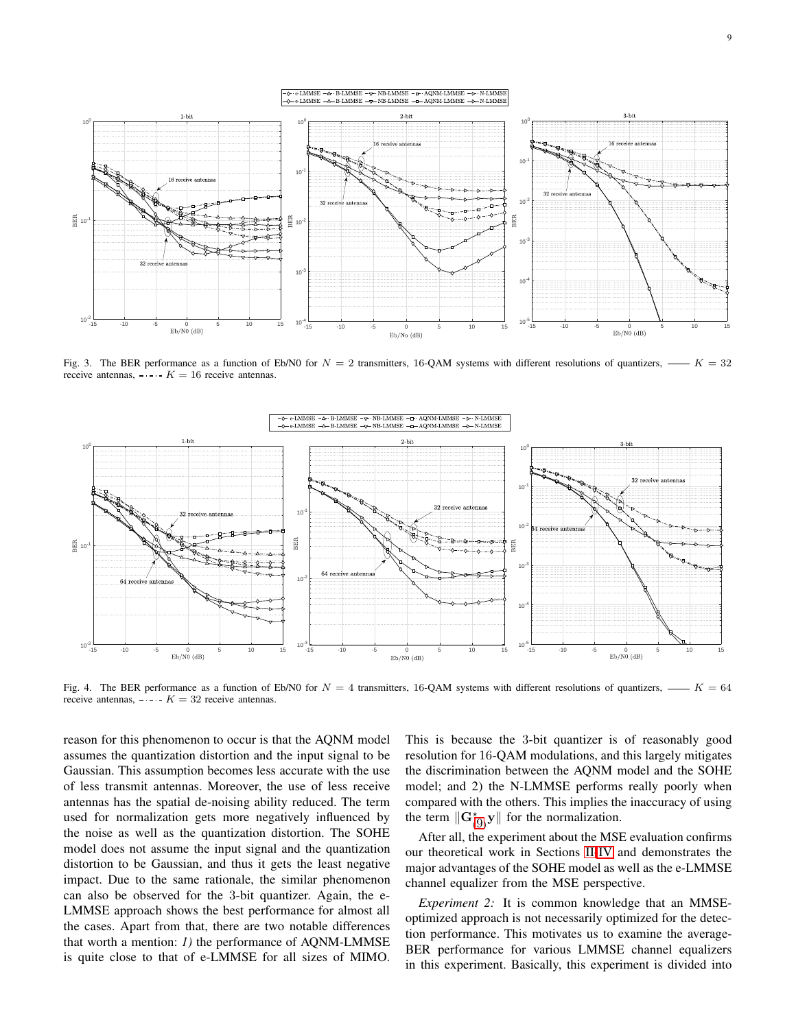

<span id="page-8-0"></span>Fig. 3. The BER performance as a function of Eb/N0 for  $N = 2$  transmitters, 16-QAM systems with different resolutions of quantizers,  $K = 32$ receive antennas,  $-\cdots K = 16$  receive antennas.



<span id="page-8-1"></span>Fig. 4. The BER performance as a function of Eb/N0 for  $N = 4$  transmitters, 16-QAM systems with different resolutions of quantizers,  $K = 64$ receive antennas,  $\overline{K} = 32$  receive antennas.

reason for this phenomenon to occur is that the AQNM model assumes the quantization distortion and the input signal to be Gaussian. This assumption becomes less accurate with the use of less transmit antennas. Moreover, the use of less receive antennas has the spatial de-noising ability reduced. The term used for normalization gets more negatively influenced by the noise as well as the quantization distortion. The SOHE model does not assume the input signal and the quantization distortion to be Gaussian, and thus it gets the least negative impact. Due to the same rationale, the similar phenomenon can also be observed for the 3-bit quantizer. Again, the e-LMMSE approach shows the best performance for almost all the cases. Apart from that, there are two notable differences that worth a mention: *1)* the performance of AQNM-LMMSE is quite close to that of e-LMMSE for all sizes of MIMO. This is because the 3-bit quantizer is of reasonably good resolution for 16-QAM modulations, and this largely mitigates the discrimination between the AQNM model and the SOHE model; and 2) the N-LMMSE performs really poorly when compared with the others. This implies the inaccuracy of using the term  $\|\mathbf{G}_{(9)}^{\star}\mathbf{y}\|$  $\|\mathbf{G}_{(9)}^{\star}\mathbf{y}\|$  $\|\mathbf{G}_{(9)}^{\star}\mathbf{y}\|$  for the normalization.

After all, the experiment about the MSE evaluation confirms our theoretical work in Sections [II-](#page-1-4)[IV](#page-5-0) and demonstrates the major advantages of the SOHE model as well as the e-LMMSE channel equalizer from the MSE perspective.

*Experiment 2:* It is common knowledge that an MMSEoptimized approach is not necessarily optimized for the detection performance. This motivates us to examine the average-BER performance for various LMMSE channel equalizers in this experiment. Basically, this experiment is divided into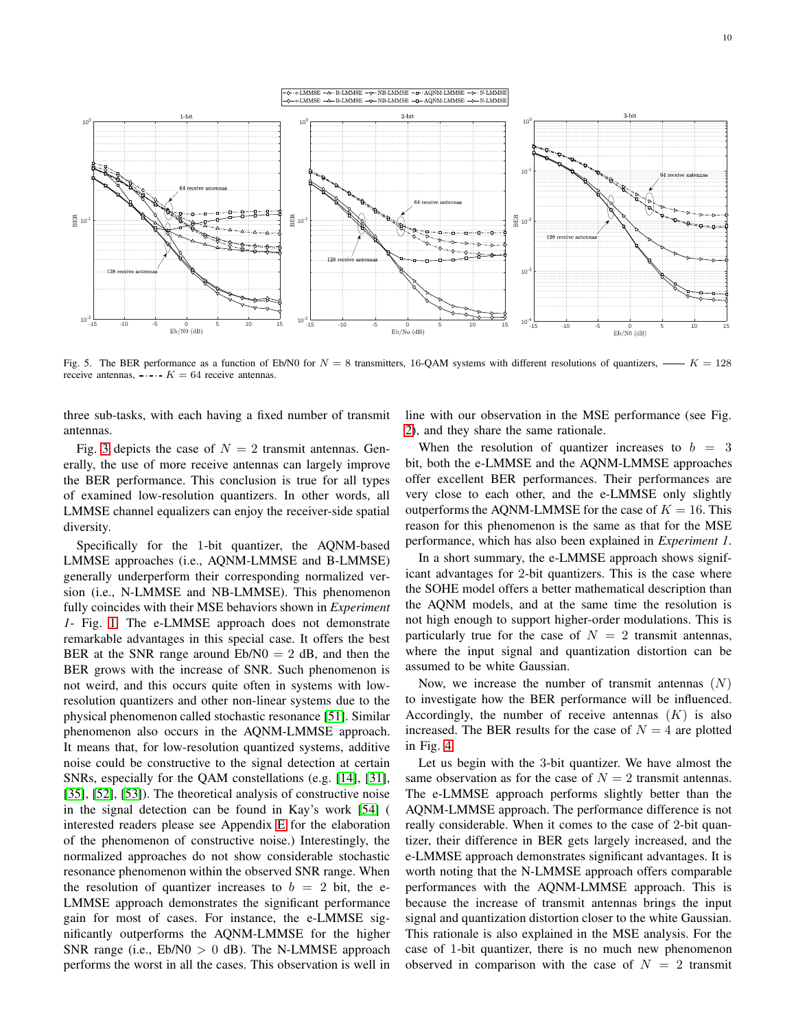

<span id="page-9-0"></span>Fig. 5. The BER performance as a function of Eb/N0 for  $N = 8$  transmitters, 16-QAM systems with different resolutions of quantizers,  $K = 128$ receive antennas,  $-\cdots$   $K = 64$  receive antennas.

three sub-tasks, with each having a fixed number of transmit antennas.

Fig. [3](#page-8-0) depicts the case of  $N = 2$  transmit antennas. Generally, the use of more receive antennas can largely improve the BER performance. This conclusion is true for all types of examined low-resolution quantizers. In other words, all LMMSE channel equalizers can enjoy the receiver-side spatial diversity.

Specifically for the 1-bit quantizer, the AQNM-based LMMSE approaches (i.e., AQNM-LMMSE and B-LMMSE) generally underperform their corresponding normalized version (i.e., N-LMMSE and NB-LMMSE). This phenomenon fully coincides with their MSE behaviors shown in *Experiment 1*- Fig. [1.](#page-6-2) The e-LMMSE approach does not demonstrate remarkable advantages in this special case. It offers the best BER at the SNR range around  $Eb/N0 = 2 dB$ , and then the BER grows with the increase of SNR. Such phenomenon is not weird, and this occurs quite often in systems with lowresolution quantizers and other non-linear systems due to the physical phenomenon called stochastic resonance [\[51\]](#page-15-0). Similar phenomenon also occurs in the AQNM-LMMSE approach. It means that, for low-resolution quantized systems, additive noise could be constructive to the signal detection at certain SNRs, especially for the QAM constellations (e.g. [\[14\]](#page-14-9), [\[31\]](#page-14-19), [\[35\]](#page-14-24), [\[52\]](#page-15-1), [\[53\]](#page-15-2)). The theoretical analysis of constructive noise in the signal detection can be found in Kay's work [\[54\]](#page-15-3) ( interested readers please see Appendix [E](#page-13-2) for the elaboration of the phenomenon of constructive noise.) Interestingly, the normalized approaches do not show considerable stochastic resonance phenomenon within the observed SNR range. When the resolution of quantizer increases to  $b = 2$  bit, the e-LMMSE approach demonstrates the significant performance gain for most of cases. For instance, the e-LMMSE significantly outperforms the AQNM-LMMSE for the higher SNR range (i.e.,  $Eb/N0 > 0$  dB). The N-LMMSE approach performs the worst in all the cases. This observation is well in

line with our observation in the MSE performance (see Fig. [2\)](#page-7-0), and they share the same rationale.

When the resolution of quantizer increases to  $b = 3$ bit, both the e-LMMSE and the AQNM-LMMSE approaches offer excellent BER performances. Their performances are very close to each other, and the e-LMMSE only slightly outperforms the AQNM-LMMSE for the case of  $K = 16$ . This reason for this phenomenon is the same as that for the MSE performance, which has also been explained in *Experiment 1*.

In a short summary, the e-LMMSE approach shows significant advantages for 2-bit quantizers. This is the case where the SOHE model offers a better mathematical description than the AQNM models, and at the same time the resolution is not high enough to support higher-order modulations. This is particularly true for the case of  $N = 2$  transmit antennas, where the input signal and quantization distortion can be assumed to be white Gaussian.

Now, we increase the number of transmit antennas  $(N)$ to investigate how the BER performance will be influenced. Accordingly, the number of receive antennas  $(K)$  is also increased. The BER results for the case of  $N = 4$  are plotted in Fig. [4.](#page-8-1)

Let us begin with the 3-bit quantizer. We have almost the same observation as for the case of  $N = 2$  transmit antennas. The e-LMMSE approach performs slightly better than the AQNM-LMMSE approach. The performance difference is not really considerable. When it comes to the case of 2-bit quantizer, their difference in BER gets largely increased, and the e-LMMSE approach demonstrates significant advantages. It is worth noting that the N-LMMSE approach offers comparable performances with the AQNM-LMMSE approach. This is because the increase of transmit antennas brings the input signal and quantization distortion closer to the white Gaussian. This rationale is also explained in the MSE analysis. For the case of 1-bit quantizer, there is no much new phenomenon observed in comparison with the case of  $N = 2$  transmit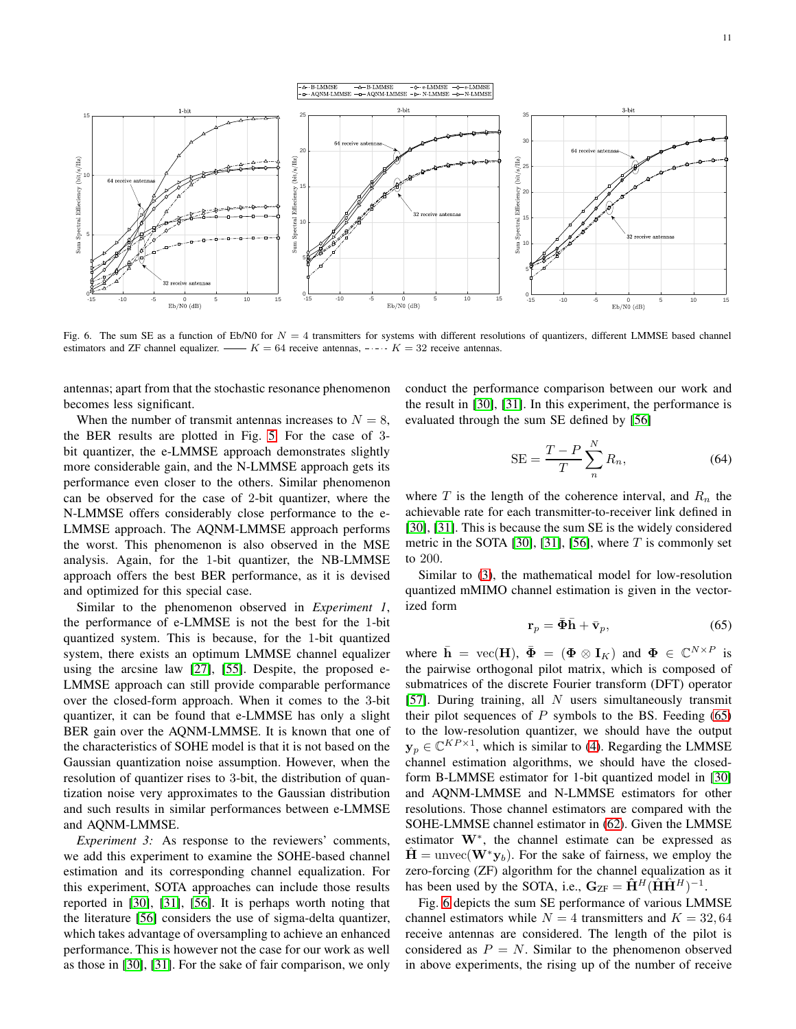

<span id="page-10-1"></span>Fig. 6. The sum SE as a function of Eb/N0 for  $N = 4$  transmitters for systems with different resolutions of quantizers, different LMMSE based channel estimators and ZF channel equalizer.  $K = 64$  receive antennas,  $- - K = 32$  receive antennas.

antennas; apart from that the stochastic resonance phenomenon becomes less significant.

When the number of transmit antennas increases to  $N = 8$ , the BER results are plotted in Fig. [5.](#page-9-0) For the case of 3 bit quantizer, the e-LMMSE approach demonstrates slightly more considerable gain, and the N-LMMSE approach gets its performance even closer to the others. Similar phenomenon can be observed for the case of 2-bit quantizer, where the N-LMMSE offers considerably close performance to the e-LMMSE approach. The AQNM-LMMSE approach performs the worst. This phenomenon is also observed in the MSE analysis. Again, for the 1-bit quantizer, the NB-LMMSE approach offers the best BER performance, as it is devised and optimized for this special case.

Similar to the phenomenon observed in *Experiment 1*, the performance of e-LMMSE is not the best for the 1-bit quantized system. This is because, for the 1-bit quantized system, there exists an optimum LMMSE channel equalizer using the arcsine law [\[27\]](#page-14-17), [\[55\]](#page-15-4). Despite, the proposed e-LMMSE approach can still provide comparable performance over the closed-form approach. When it comes to the 3-bit quantizer, it can be found that e-LMMSE has only a slight BER gain over the AQNM-LMMSE. It is known that one of the characteristics of SOHE model is that it is not based on the Gaussian quantization noise assumption. However, when the resolution of quantizer rises to 3-bit, the distribution of quantization noise very approximates to the Gaussian distribution and such results in similar performances between e-LMMSE and AQNM-LMMSE.

*Experiment 3:* As response to the reviewers' comments, we add this experiment to examine the SOHE-based channel estimation and its corresponding channel equalization. For this experiment, SOTA approaches can include those results reported in [\[30\]](#page-14-40), [\[31\]](#page-14-19), [\[56\]](#page-15-5). It is perhaps worth noting that the literature [\[56\]](#page-15-5) considers the use of sigma-delta quantizer, which takes advantage of oversampling to achieve an enhanced performance. This is however not the case for our work as well as those in [\[30\]](#page-14-40), [\[31\]](#page-14-19). For the sake of fair comparison, we only

conduct the performance comparison between our work and the result in [\[30\]](#page-14-40), [\[31\]](#page-14-19). In this experiment, the performance is evaluated through the sum SE defined by [\[56\]](#page-15-5)

$$
SE = \frac{T - P}{T} \sum_{n}^{N} R_n,
$$
\n(64)

where T is the length of the coherence interval, and  $R_n$  the achievable rate for each transmitter-to-receiver link defined in [\[30\]](#page-14-40), [\[31\]](#page-14-19). This is because the sum SE is the widely considered metric in the SOTA [\[30\]](#page-14-40), [\[31\]](#page-14-19), [\[56\]](#page-15-5), where  $T$  is commonly set to 200.

Similar to [\(3\)](#page-1-2), the mathematical model for low-resolution quantized mMIMO channel estimation is given in the vectorized form

<span id="page-10-0"></span>
$$
\mathbf{r}_p = \bar{\mathbf{\Phi}} \bar{\mathbf{h}} + \bar{\mathbf{v}}_p,\tag{65}
$$

where  $\bar{\mathbf{h}} = \text{vec}(\mathbf{H})$ ,  $\bar{\mathbf{\Phi}} = (\mathbf{\Phi} \otimes \mathbf{I}_K)$  and  $\mathbf{\Phi} \in \mathbb{C}^{N \times P}$  is the pairwise orthogonal pilot matrix, which is composed of submatrices of the discrete Fourier transform (DFT) operator [\[57\]](#page-15-6). During training, all  $N$  users simultaneously transmit their pilot sequences of  $P$  symbols to the BS. Feeding [\(65\)](#page-10-0) to the low-resolution quantizer, we should have the output  $y_p \in \mathbb{C}^{KP \times 1}$ , which is similar to [\(4\)](#page-1-1). Regarding the LMMSE channel estimation algorithms, we should have the closedform B-LMMSE estimator for 1-bit quantized model in [\[30\]](#page-14-40) and AQNM-LMMSE and N-LMMSE estimators for other resolutions. Those channel estimators are compared with the SOHE-LMMSE channel estimator in [\(62\)](#page-6-1). Given the LMMSE estimator W<sup>∗</sup> , the channel estimate can be expressed as  $H =$  unvec( $W^*y_b$ ). For the sake of fairness, we employ the zero-forcing (ZF) algorithm for the channel equalization as it has been used by the SOTA, i.e.,  $G_{ZF} = \hat{H}^H(\hat{H}\hat{H}^H)^{-1}$ .

Fig. [6](#page-10-1) depicts the sum SE performance of various LMMSE channel estimators while  $N = 4$  transmitters and  $K = 32,64$ receive antennas are considered. The length of the pilot is considered as  $P = N$ . Similar to the phenomenon observed in above experiments, the rising up of the number of receive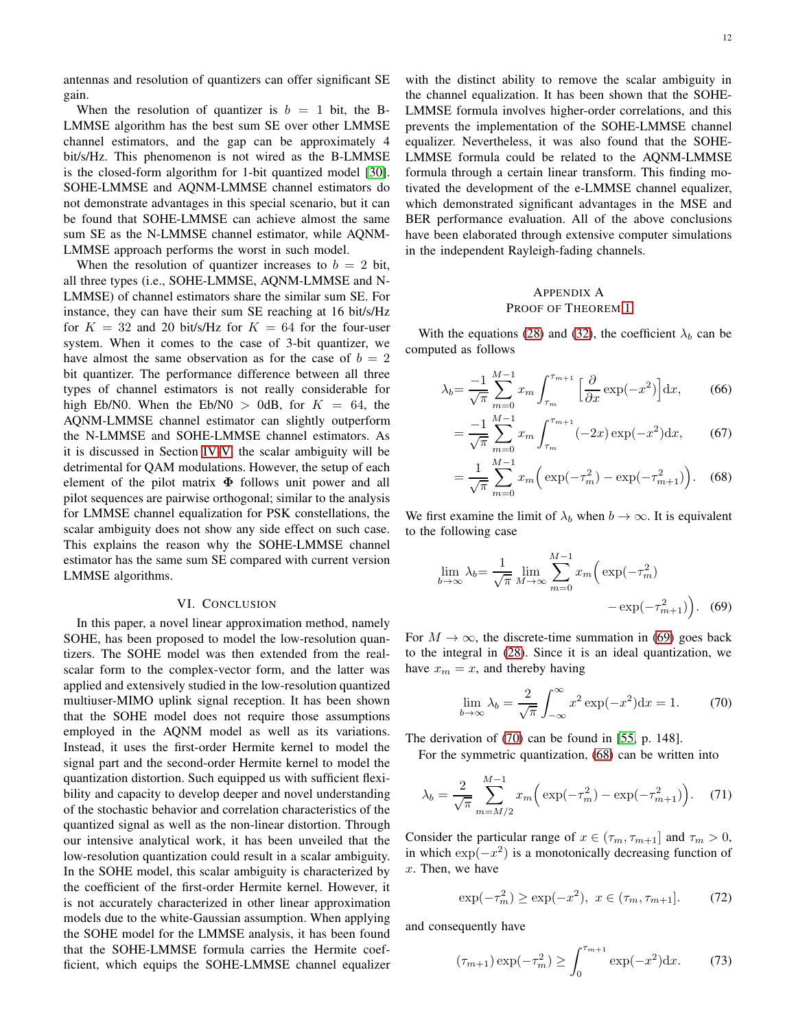antennas and resolution of quantizers can offer significant SE gain.

When the resolution of quantizer is  $b = 1$  bit, the B-LMMSE algorithm has the best sum SE over other LMMSE channel estimators, and the gap can be approximately 4 bit/s/Hz. This phenomenon is not wired as the B-LMMSE is the closed-form algorithm for 1-bit quantized model [\[30\]](#page-14-40). SOHE-LMMSE and AQNM-LMMSE channel estimators do not demonstrate advantages in this special scenario, but it can be found that SOHE-LMMSE can achieve almost the same sum SE as the N-LMMSE channel estimator, while AQNM-LMMSE approach performs the worst in such model.

When the resolution of quantizer increases to  $b = 2$  bit, all three types (i.e., SOHE-LMMSE, AQNM-LMMSE and N-LMMSE) of channel estimators share the similar sum SE. For instance, they can have their sum SE reaching at 16 bit/s/Hz for  $K = 32$  and 20 bit/s/Hz for  $K = 64$  for the four-user system. When it comes to the case of 3-bit quantizer, we have almost the same observation as for the case of  $b = 2$ bit quantizer. The performance difference between all three types of channel estimators is not really considerable for high Eb/N0. When the Eb/N0  $>$  0dB, for  $K = 64$ , the AQNM-LMMSE channel estimator can slightly outperform the N-LMMSE and SOHE-LMMSE channel estimators. As it is discussed in Section [IV](#page-5-0)[-V,](#page-6-3) the scalar ambiguity will be detrimental for QAM modulations. However, the setup of each element of the pilot matrix  $\Phi$  follows unit power and all pilot sequences are pairwise orthogonal; similar to the analysis for LMMSE channel equalization for PSK constellations, the scalar ambiguity does not show any side effect on such case. This explains the reason why the SOHE-LMMSE channel estimator has the same sum SE compared with current version LMMSE algorithms.

#### VI. CONCLUSION

In this paper, a novel linear approximation method, namely SOHE, has been proposed to model the low-resolution quantizers. The SOHE model was then extended from the realscalar form to the complex-vector form, and the latter was applied and extensively studied in the low-resolution quantized multiuser-MIMO uplink signal reception. It has been shown that the SOHE model does not require those assumptions employed in the AQNM model as well as its variations. Instead, it uses the first-order Hermite kernel to model the signal part and the second-order Hermite kernel to model the quantization distortion. Such equipped us with sufficient flexibility and capacity to develop deeper and novel understanding of the stochastic behavior and correlation characteristics of the quantized signal as well as the non-linear distortion. Through our intensive analytical work, it has been unveiled that the low-resolution quantization could result in a scalar ambiguity. In the SOHE model, this scalar ambiguity is characterized by the coefficient of the first-order Hermite kernel. However, it is not accurately characterized in other linear approximation models due to the white-Gaussian assumption. When applying the SOHE model for the LMMSE analysis, it has been found that the SOHE-LMMSE formula carries the Hermite coefficient, which equips the SOHE-LMMSE channel equalizer with the distinct ability to remove the scalar ambiguity in the channel equalization. It has been shown that the SOHE-LMMSE formula involves higher-order correlations, and this prevents the implementation of the SOHE-LMMSE channel equalizer. Nevertheless, it was also found that the SOHE-LMMSE formula could be related to the AQNM-LMMSE formula through a certain linear transform. This finding motivated the development of the e-LMMSE channel equalizer, which demonstrated significant advantages in the MSE and BER performance evaluation. All of the above conclusions have been elaborated through extensive computer simulations in the independent Rayleigh-fading channels.

# <span id="page-11-0"></span>APPENDIX A PROOF OF THEOREM [1](#page-3-10)

With the equations [\(28\)](#page-3-5) and [\(32\)](#page-3-11), the coefficient  $\lambda_b$  can be computed as follows

$$
\lambda_b = \frac{-1}{\sqrt{\pi}} \sum_{m=0}^{M-1} x_m \int_{\tau_m}^{\tau_{m+1}} \left[ \frac{\partial}{\partial x} \exp(-x^2) \right] dx, \qquad (66)
$$

$$
= \frac{-1}{\sqrt{\pi}} \sum_{m=0}^{M-1} x_m \int_{\tau_m}^{\tau_{m+1}} (-2x) \exp(-x^2) dx, \qquad (67)
$$

<span id="page-11-4"></span>
$$
= \frac{1}{\sqrt{\pi}} \sum_{m=0}^{M-1} x_m \left( \exp(-\tau_m^2) - \exp(-\tau_{m+1}^2) \right). \quad (68)
$$

We first examine the limit of  $\lambda_b$  when  $b \to \infty$ . It is equivalent to the following case

$$
\lim_{b \to \infty} \lambda_b = \frac{1}{\sqrt{\pi}} \lim_{M \to \infty} \sum_{m=0}^{M-1} x_m \left( \exp(-\tau_m^2) - \exp(-\tau_{m+1}^2) \right). \tag{69}
$$

For  $M \to \infty$ , the discrete-time summation in [\(69\)](#page-11-2) goes back to the integral in [\(28\)](#page-3-5). Since it is an ideal quantization, we have  $x_m = x$ , and thereby having

<span id="page-11-3"></span><span id="page-11-2"></span>
$$
\lim_{b \to \infty} \lambda_b = \frac{2}{\sqrt{\pi}} \int_{-\infty}^{\infty} x^2 \exp(-x^2) dx = 1.
$$
 (70)

The derivation of [\(70\)](#page-11-3) can be found in [\[55,](#page-15-4) p. 148].

For the symmetric quantization, [\(68\)](#page-11-4) can be written into

<span id="page-11-1"></span>
$$
\lambda_b = \frac{2}{\sqrt{\pi}} \sum_{m=M/2}^{M-1} x_m \left( \exp(-\tau_m^2) - \exp(-\tau_{m+1}^2) \right). \tag{71}
$$

Consider the particular range of  $x \in (\tau_m, \tau_{m+1}]$  and  $\tau_m > 0$ , in which  $\exp(-x^2)$  is a monotonically decreasing function of x. Then, we have

$$
\exp(-\tau_m^2) \ge \exp(-x^2), \ x \in (\tau_m, \tau_{m+1}]. \tag{72}
$$

and consequently have

<span id="page-11-5"></span>
$$
(\tau_{m+1}) \exp(-\tau_m^2) \ge \int_0^{\tau_{m+1}} \exp(-x^2) \mathrm{d}x. \tag{73}
$$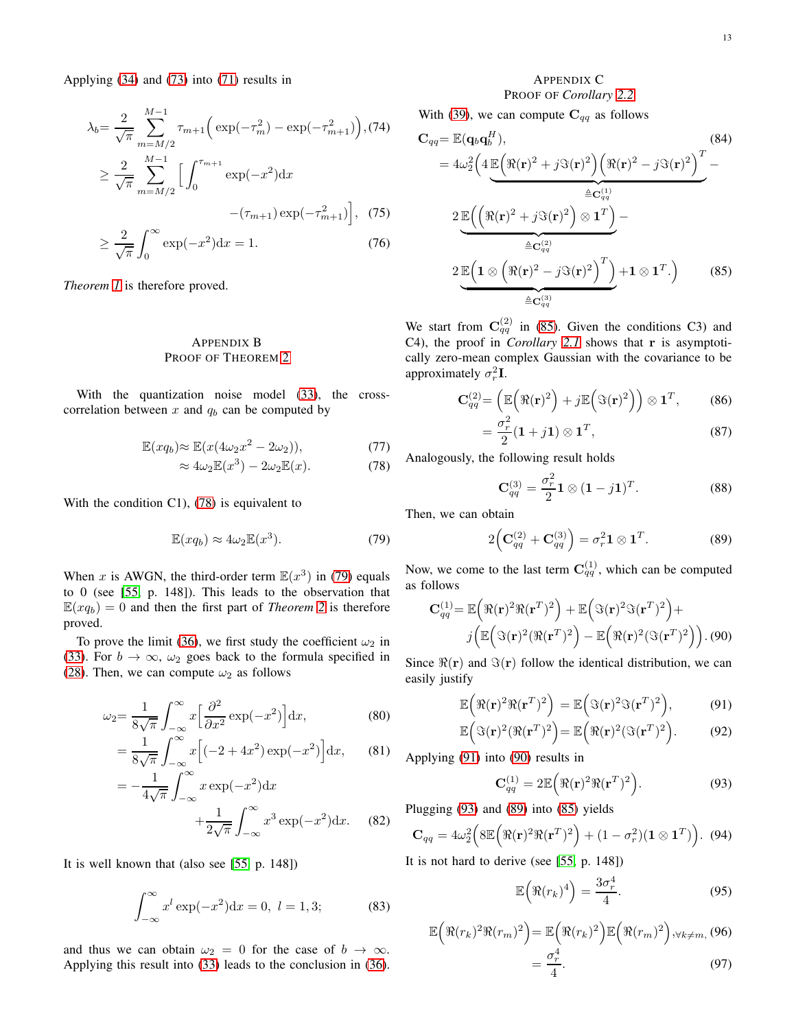Applying [\(34\)](#page-4-14) and [\(73\)](#page-11-5) into [\(71\)](#page-11-1) results in

$$
\lambda_b = \frac{2}{\sqrt{\pi}} \sum_{m=M/2}^{M-1} \tau_{m+1} \Big( \exp(-\tau_m^2) - \exp(-\tau_{m+1}^2) \Big), (74)
$$
  
\n
$$
\geq \frac{2}{\sqrt{\pi}} \sum_{m=M/2}^{M-1} \Big[ \int_0^{\tau_{m+1}} \exp(-x^2) dx - (\tau_{m+1}) \exp(-\tau_{m+1}^2) \Big], (75)
$$
  
\n
$$
\geq \frac{2}{\sqrt{\pi}} \int_0^\infty \exp(-x^2) dx = 1. (76)
$$

*Theorem [1](#page-3-10)* is therefore proved.

# <span id="page-12-0"></span>APPENDIX B PROOF OF THEOREM [2](#page-4-0)

With the quantization noise model [\(33\)](#page-3-12), the crosscorrelation between  $x$  and  $q_b$  can be computed by

$$
\mathbb{E}(xq_b) \approx \mathbb{E}(x(4\omega_2 x^2 - 2\omega_2)),\tag{77}
$$

$$
\approx 4\omega_2 \mathbb{E}(x^3) - 2\omega_2 \mathbb{E}(x). \tag{78}
$$

With the condition C1), [\(78\)](#page-12-2) is equivalent to

<span id="page-12-3"></span>
$$
\mathbb{E}(xq_b) \approx 4\omega_2 \mathbb{E}(x^3). \tag{79}
$$

When x is AWGN, the third-order term  $\mathbb{E}(x^3)$  in [\(79\)](#page-12-3) equals to 0 (see [\[55,](#page-15-4) p. 148]). This leads to the observation that  $\mathbb{E}(xq_b) = 0$  and then the first part of *Theorem* [2](#page-4-0) is therefore proved.

To prove the limit [\(36\)](#page-4-1), we first study the coefficient  $\omega_2$  in [\(33\)](#page-3-12). For  $b \to \infty$ ,  $\omega_2$  goes back to the formula specified in [\(28\)](#page-3-5). Then, we can compute  $\omega_2$  as follows

$$
\omega_2 = \frac{1}{8\sqrt{\pi}} \int_{-\infty}^{\infty} x \left[ \frac{\partial^2}{\partial x^2} \exp(-x^2) \right] dx,\tag{80}
$$

$$
= \frac{1}{8\sqrt{\pi}} \int_{-\infty}^{\infty} x \left[ (-2 + 4x^2) \exp(-x^2) \right] dx, \qquad (81)
$$

$$
= -\frac{1}{4\sqrt{\pi}} \int_{-\infty}^{\infty} x \exp(-x^2) dx
$$

$$
+ \frac{1}{2\sqrt{\pi}} \int_{-\infty}^{\infty} x^3 \exp(-x^2) dx. \quad (82)
$$

It is well known that (also see [\[55,](#page-15-4) p. 148])

$$
\int_{-\infty}^{\infty} x^l \exp(-x^2) dx = 0, \ l = 1, 3; \tag{83}
$$

and thus we can obtain  $\omega_2 = 0$  for the case of  $b \to \infty$ . Applying this result into [\(33\)](#page-3-12) leads to the conclusion in [\(36\)](#page-4-1).

# <span id="page-12-4"></span><span id="page-12-1"></span>APPENDIX C

PROOF OF *Corollary [2.2](#page-4-9)* With [\(39\)](#page-4-15), we can compute  $C_{qq}$  as follows

$$
C_{qq} = \mathbb{E}(\mathbf{q}_b \mathbf{q}_b^H),
$$
\n
$$
= 4\omega_2^2 \left( 4 \mathbb{E} \left( \Re(\mathbf{r})^2 + j \Im(\mathbf{r})^2 \right) \left( \Re(\mathbf{r})^2 - j \Im(\mathbf{r})^2 \right)^T - \frac{\triangleq C_{qq}^{(1)}}{2} \mathbb{E} \left( \left( \Re(\mathbf{r})^2 + j \Im(\mathbf{r})^2 \right) \otimes \mathbf{1}^T \right) - \frac{\triangleq C_{qq}^{(2)}}{2} \mathbb{E} \left( \mathbf{1} \otimes \left( \Re(\mathbf{r})^2 - j \Im(\mathbf{r})^2 \right)^T \right) + \mathbf{1} \otimes \mathbf{1}^T. \right)
$$
\n(85)

We start from  $\mathbf{C}_{qq}^{(2)}$  in [\(85\)](#page-12-4). Given the conditions C3) and C4), the proof in *Corollary [2.1](#page-4-8)* shows that r is asymptotically zero-mean complex Gaussian with the covariance to be approximately  $\sigma_r^2 \mathbf{I}$ .

$$
\mathbf{C}_{qq}^{(2)} = \left(\mathbb{E}\left(\Re(\mathbf{r})^2\right) + j\mathbb{E}\left(\Im(\mathbf{r})^2\right)\right) \otimes \mathbf{1}^T, \quad (86)
$$

$$
=\frac{\sigma_r^2}{2}(\mathbf{1}+j\mathbf{1})\otimes \mathbf{1}^T,
$$
\n(87)

<span id="page-12-2"></span>Analogously, the following result holds

$$
\mathbf{C}_{qq}^{(3)} = \frac{\sigma_r^2}{2} \mathbf{1} \otimes (\mathbf{1} - j\mathbf{1})^T.
$$
 (88)

Then, we can obtain

<span id="page-12-8"></span><span id="page-12-6"></span>
$$
2\left(\mathbf{C}_{qq}^{(2)} + \mathbf{C}_{qq}^{(3)}\right) = \sigma_r^2 \mathbf{1} \otimes \mathbf{1}^T.
$$
 (89)

Now, we come to the last term  $\mathbf{C}_{qq}^{(1)}$ , which can be computed as follows

$$
\mathbf{C}_{qq}^{(1)} = \mathbb{E}\left(\Re(\mathbf{r})^2 \Re(\mathbf{r}^T)^2\right) + \mathbb{E}\left(\Im(\mathbf{r})^2 \Im(\mathbf{r}^T)^2\right) + \nj\left(\mathbb{E}\left(\Im(\mathbf{r})^2 (\Re(\mathbf{r}^T)^2\right) - \mathbb{E}\left(\Re(\mathbf{r})^2 (\Im(\mathbf{r}^T)^2\right)\right). (90)
$$

Since  $\Re(\mathbf{r})$  and  $\Im(\mathbf{r})$  follow the identical distribution, we can easily justify

$$
\mathbb{E}\left(\Re(\mathbf{r})^2\Re(\mathbf{r}^T)^2\right) = \mathbb{E}\left(\Im(\mathbf{r})^2\Im(\mathbf{r}^T)^2\right),\tag{91}
$$

$$
\mathbb{E}\Big(\Im(\mathbf{r})^2(\Re(\mathbf{r}^T))^2\Big) = \mathbb{E}\Big(\Re(\mathbf{r})^2(\Im(\mathbf{r}^T))^2\Big). \tag{92}
$$

Applying [\(91\)](#page-12-5) into [\(90\)](#page-12-6) results in

<span id="page-12-7"></span><span id="page-12-5"></span>
$$
\mathbf{C}_{qq}^{(1)} = 2\mathbb{E}\left(\Re(\mathbf{r})^2\Re(\mathbf{r}^T)^2\right).
$$
 (93)

Plugging [\(93\)](#page-12-7) and [\(89\)](#page-12-8) into [\(85\)](#page-12-4) yields

<span id="page-12-11"></span>
$$
\mathbf{C}_{qq} = 4\omega_2^2 \left( 8\mathbb{E}\left( \Re(\mathbf{r})^2 \Re(\mathbf{r}^T)^2 \right) + (1 - \sigma_r^2)(\mathbf{1} \otimes \mathbf{1}^T) \right). \tag{94}
$$

It is not hard to derive (see [\[55,](#page-15-4) p. 148])

<span id="page-12-10"></span><span id="page-12-9"></span>
$$
\mathbb{E}\left(\Re(r_k)^4\right) = \frac{3\sigma_r^4}{4}.\tag{95}
$$

$$
\mathbb{E}\left(\Re(r_k)^2\Re(r_m)^2\right) = \mathbb{E}\left(\Re(r_k)^2\right)\mathbb{E}\left(\Re(r_m)^2\right), \forall k \neq m, (96)
$$

$$
= \frac{\sigma_r^4}{4}.
$$
 (97)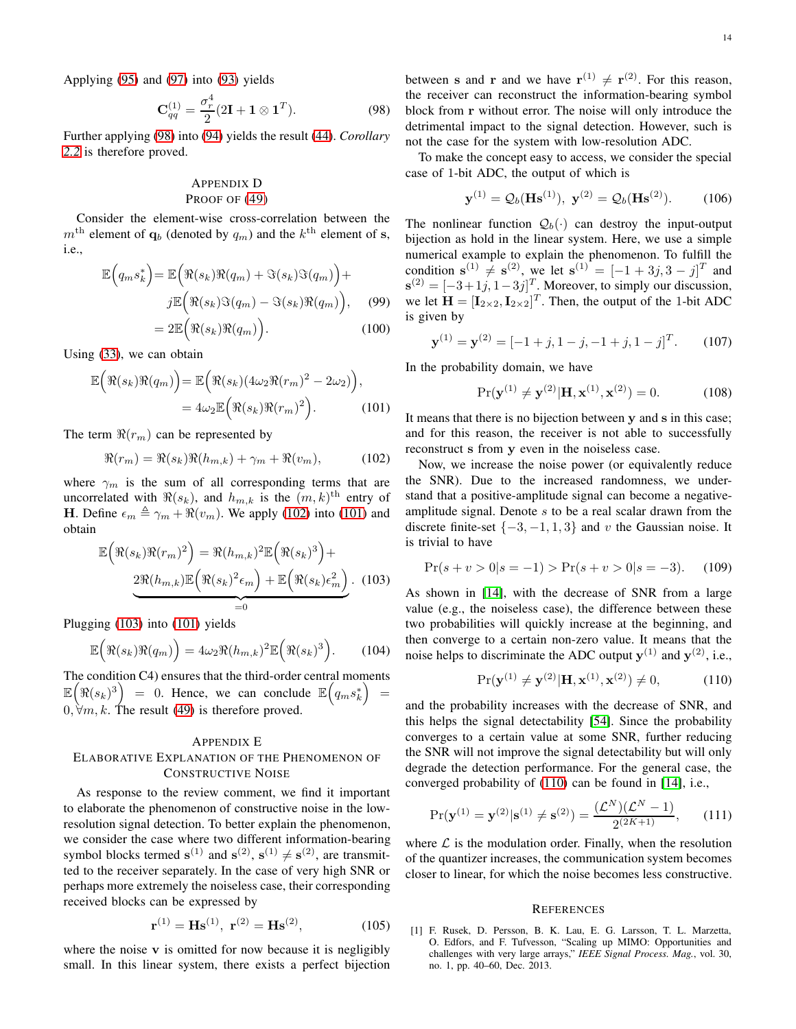Applying [\(95\)](#page-12-9) and [\(97\)](#page-12-10) into [\(93\)](#page-12-7) yields

<span id="page-13-3"></span>
$$
\mathbf{C}_{qq}^{(1)} = \frac{\sigma_r^4}{2} (2\mathbf{I} + \mathbf{1} \otimes \mathbf{1}^T). \tag{98}
$$

Further applying [\(98\)](#page-13-3) into [\(94\)](#page-12-11) yields the result [\(44\)](#page-4-13). *Corollary [2.2](#page-4-9)* is therefore proved.

# <span id="page-13-1"></span>APPENDIX D PROOF OF [\(49\)](#page-4-16)

Consider the element-wise cross-correlation between the  $m<sup>th</sup>$  element of  $q_b$  (denoted by  $q_m$ ) and the  $k<sup>th</sup>$  element of s, i.e.,

$$
\mathbb{E}\left(q_m s_k^*\right) = \mathbb{E}\left(\Re(s_k)\Re(q_m) + \Im(s_k)\Im(q_m)\right) +
$$

$$
j\mathbb{E}\left(\Re(s_k)\Im(q_m) - \Im(s_k)\Re(q_m)\right), \quad (99)
$$

$$
= 2\mathbb{E}\left(\Re(s_k)\Re(q_{k-1})\right) \quad (100)
$$

$$
=2\mathbb{E}\Big(\Re(s_k)\Re(q_m)\Big). \hspace{1cm} (100)
$$

Using [\(33\)](#page-3-12), we can obtain

$$
\mathbb{E}\Big(\Re(s_k)\Re(q_m)\Big) = \mathbb{E}\Big(\Re(s_k)(4\omega_2\Re(r_m)^2 - 2\omega_2)\Big),
$$
  
=  $4\omega_2\mathbb{E}\Big(\Re(s_k)\Re(r_m)^2\Big).$  (101)

The term  $\Re(r_m)$  can be represented by

<span id="page-13-4"></span>
$$
\Re(r_m) = \Re(s_k)\Re(h_{m,k}) + \gamma_m + \Re(v_m),\tag{102}
$$

where  $\gamma_m$  is the sum of all corresponding terms that are uncorrelated with  $\Re(s_k)$ , and  $h_{m,k}$  is the  $(m, k)$ <sup>th</sup> entry of H. Define  $\epsilon_m \triangleq \gamma_m + \Re(v_m)$ . We apply [\(102\)](#page-13-4) into [\(101\)](#page-13-5) and obtain

$$
\mathbb{E}\left(\Re(s_k)\Re(r_m)^2\right) = \Re(h_{m,k})^2 \mathbb{E}\left(\Re(s_k)^3\right) +
$$

$$
\underbrace{2\Re(h_{m,k})\mathbb{E}\left(\Re(s_k)^2\epsilon_m\right) + \mathbb{E}\left(\Re(s_k)\epsilon_m^2\right)}_{=0}.
$$
 (103)

Plugging [\(103\)](#page-13-6) into [\(101\)](#page-13-5) yields

$$
\mathbb{E}\Big(\Re(s_k)\Re(q_m)\Big) = 4\omega_2\Re(h_{m,k})^2\mathbb{E}\Big(\Re(s_k)^3\Big). \tag{104}
$$

The condition C4) ensures that the third-order central moments  $\mathbb{E}\left(\Re(s_k)^3\right) = 0$ . Hence, we can conclude  $\mathbb{E}\left(q_m s_k^*\right) =$  $0, \forall m, k$ . The result [\(49\)](#page-4-16) is therefore proved.

# <span id="page-13-2"></span>APPENDIX E ELABORATIVE EXPLANATION OF THE PHENOMENON OF CONSTRUCTIVE NOISE

As response to the review comment, we find it important to elaborate the phenomenon of constructive noise in the lowresolution signal detection. To better explain the phenomenon, we consider the case where two different information-bearing symbol blocks termed  $\mathbf{s}^{(1)}$  and  $\mathbf{s}^{(2)}$ ,  $\mathbf{s}^{(1)} \neq \mathbf{s}^{(2)}$ , are transmitted to the receiver separately. In the case of very high SNR or perhaps more extremely the noiseless case, their corresponding received blocks can be expressed by

$$
\mathbf{r}^{(1)} = \mathbf{H}\mathbf{s}^{(1)}, \ \mathbf{r}^{(2)} = \mathbf{H}\mathbf{s}^{(2)}, \tag{105}
$$

where the noise  $v$  is omitted for now because it is negligibly small. In this linear system, there exists a perfect bijection

between s and r and we have  $r^{(1)} \neq r^{(2)}$ . For this reason, the receiver can reconstruct the information-bearing symbol block from r without error. The noise will only introduce the detrimental impact to the signal detection. However, such is not the case for the system with low-resolution ADC.

To make the concept easy to access, we consider the special case of 1-bit ADC, the output of which is

$$
\mathbf{y}^{(1)} = Q_b(\mathbf{H}\mathbf{s}^{(1)}), \ \mathbf{y}^{(2)} = Q_b(\mathbf{H}\mathbf{s}^{(2)}).
$$
 (106)

The nonlinear function  $Q_b(\cdot)$  can destroy the input-output bijection as hold in the linear system. Here, we use a simple numerical example to explain the phenomenon. To fulfill the condition  $\mathbf{s}^{(1)} \neq \mathbf{s}^{(2)}$ , we let  $\mathbf{s}^{(1)} = [-1 + 3j, 3 - j]^T$  and  $\mathbf{s}^{(2)} = [-3+1j, 1-3j]^T$ . Moreover, to simply our discussion, we let  $\mathbf{H} = [\mathbf{I}_{2\times2}, \mathbf{I}_{2\times2}]^T$ . Then, the output of the 1-bit ADC is given by

$$
\mathbf{y}^{(1)} = \mathbf{y}^{(2)} = [-1+j, 1-j, -1+j, 1-j]^T.
$$
 (107)

In the probability domain, we have

$$
Pr(\mathbf{y}^{(1)} \neq \mathbf{y}^{(2)} | \mathbf{H}, \mathbf{x}^{(1)}, \mathbf{x}^{(2)}) = 0.
$$
 (108)

<span id="page-13-5"></span>It means that there is no bijection between y and s in this case; and for this reason, the receiver is not able to successfully reconstruct s from y even in the noiseless case.

Now, we increase the noise power (or equivalently reduce the SNR). Due to the increased randomness, we understand that a positive-amplitude signal can become a negativeamplitude signal. Denote s to be a real scalar drawn from the discrete finite-set  $\{-3, -1, 1, 3\}$  and v the Gaussian noise. It is trivial to have

$$
\Pr(s + v > 0 | s = -1) > \Pr(s + v > 0 | s = -3). \tag{109}
$$

<span id="page-13-6"></span>As shown in [\[14\]](#page-14-9), with the decrease of SNR from a large value (e.g., the noiseless case), the difference between these two probabilities will quickly increase at the beginning, and then converge to a certain non-zero value. It means that the noise helps to discriminate the ADC output  $y^{(1)}$  and  $y^{(2)}$ , i.e.,

<span id="page-13-7"></span>
$$
Pr(\mathbf{y}^{(1)} \neq \mathbf{y}^{(2)} | \mathbf{H}, \mathbf{x}^{(1)}, \mathbf{x}^{(2)}) \neq 0,
$$
 (110)

and the probability increases with the decrease of SNR, and this helps the signal detectability [\[54\]](#page-15-3). Since the probability converges to a certain value at some SNR, further reducing the SNR will not improve the signal detectability but will only degrade the detection performance. For the general case, the converged probability of [\(110\)](#page-13-7) can be found in [\[14\]](#page-14-9), i.e.,

$$
\Pr(\mathbf{y}^{(1)} = \mathbf{y}^{(2)} | \mathbf{s}^{(1)} \neq \mathbf{s}^{(2)}) = \frac{(\mathcal{L}^N)(\mathcal{L}^N - 1)}{2^{(2K+1)}},\qquad(111)
$$

where  $\mathcal L$  is the modulation order. Finally, when the resolution of the quantizer increases, the communication system becomes closer to linear, for which the noise becomes less constructive.

#### **REFERENCES**

<span id="page-13-0"></span>[1] F. Rusek, D. Persson, B. K. Lau, E. G. Larsson, T. L. Marzetta, O. Edfors, and F. Tufvesson, "Scaling up MIMO: Opportunities and challenges with very large arrays," *IEEE Signal Process. Mag.*, vol. 30, no. 1, pp. 40–60, Dec. 2013.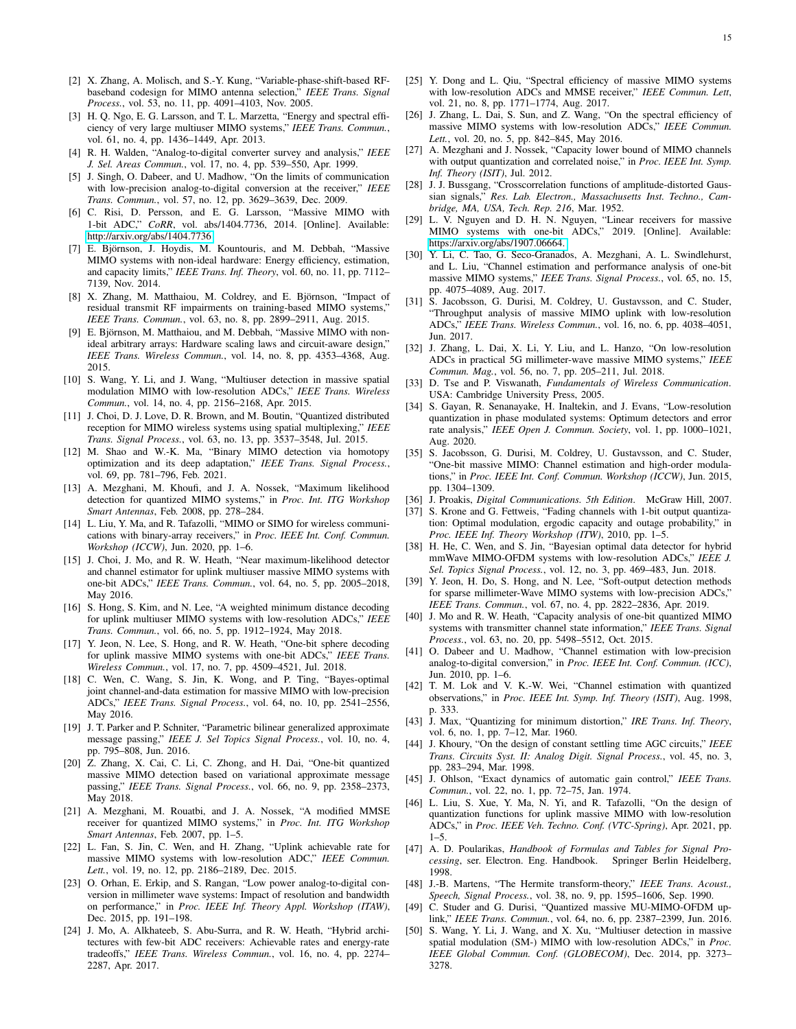- <span id="page-14-0"></span>[2] X. Zhang, A. Molisch, and S.-Y. Kung, "Variable-phase-shift-based RFbaseband codesign for MIMO antenna selection," *IEEE Trans. Signal Process.*, vol. 53, no. 11, pp. 4091–4103, Nov. 2005.
- <span id="page-14-1"></span>[3] H. Q. Ngo, E. G. Larsson, and T. L. Marzetta, "Energy and spectral efficiency of very large multiuser MIMO systems," *IEEE Trans. Commun.*, vol. 61, no. 4, pp. 1436–1449, Apr. 2013.
- <span id="page-14-2"></span>[4] R. H. Walden, "Analog-to-digital converter survey and analysis," *IEEE J. Sel. Areas Commun.*, vol. 17, no. 4, pp. 539–550, Apr. 1999.
- <span id="page-14-3"></span>[5] J. Singh, O. Dabeer, and U. Madhow, "On the limits of communication with low-precision analog-to-digital conversion at the receiver," *IEEE Trans. Commun.*, vol. 57, no. 12, pp. 3629–3639, Dec. 2009.
- [6] C. Risi, D. Persson, and E. G. Larsson, "Massive MIMO with 1-bit ADC," *CoRR*, vol. abs/1404.7736, 2014. [Online]. Available: <http://arxiv.org/abs/1404.7736>
- <span id="page-14-4"></span>[7] E. Björnson, J. Hoydis, M. Kountouris, and M. Debbah, "Massive MIMO systems with non-ideal hardware: Energy efficiency, estimation, and capacity limits," *IEEE Trans. Inf. Theory*, vol. 60, no. 11, pp. 7112– 7139, Nov. 2014.
- <span id="page-14-31"></span>[8] X. Zhang, M. Matthaiou, M. Coldrey, and E. Björnson, "Impact of residual transmit RF impairments on training-based MIMO systems,' *IEEE Trans. Commun.*, vol. 63, no. 8, pp. 2899–2911, Aug. 2015.
- <span id="page-14-5"></span>[9] E. Björnson, M. Matthaiou, and M. Debbah, "Massive MIMO with nonideal arbitrary arrays: Hardware scaling laws and circuit-aware design," *IEEE Trans. Wireless Commun.*, vol. 14, no. 8, pp. 4353–4368, Aug. 2015.
- <span id="page-14-6"></span>[10] S. Wang, Y. Li, and J. Wang, "Multiuser detection in massive spatial modulation MIMO with low-resolution ADCs," *IEEE Trans. Wireless Commun.*, vol. 14, no. 4, pp. 2156–2168, Apr. 2015.
- [11] J. Choi, D. J. Love, D. R. Brown, and M. Boutin, "Quantized distributed reception for MIMO wireless systems using spatial multiplexing," *IEEE Trans. Signal Process.*, vol. 63, no. 13, pp. 3537–3548, Jul. 2015.
- <span id="page-14-7"></span>[12] M. Shao and W.-K. Ma, "Binary MIMO detection via homotopy optimization and its deep adaptation," *IEEE Trans. Signal Process.*, vol. 69, pp. 781–796, Feb. 2021.
- <span id="page-14-8"></span>[13] A. Mezghani, M. Khoufi, and J. A. Nossek, "Maximum likelihood detection for quantized MIMO systems," in *Proc. Int. ITG Workshop Smart Antennas*, Feb. 2008, pp. 278–284.
- <span id="page-14-9"></span>[14] L. Liu, Y. Ma, and R. Tafazolli, "MIMO or SIMO for wireless communications with binary-array receivers," in *Proc. IEEE Int. Conf. Commun. Workshop (ICCW)*, Jun. 2020, pp. 1–6.
- <span id="page-14-10"></span>[15] J. Choi, J. Mo, and R. W. Heath, "Near maximum-likelihood detector and channel estimator for uplink multiuser massive MIMO systems with one-bit ADCs," *IEEE Trans. Commun.*, vol. 64, no. 5, pp. 2005–2018, May 2016.
- [16] S. Hong, S. Kim, and N. Lee, "A weighted minimum distance decoding for uplink multiuser MIMO systems with low-resolution ADCs," *IEEE Trans. Commun.*, vol. 66, no. 5, pp. 1912–1924, May 2018.
- <span id="page-14-11"></span>[17] Y. Jeon, N. Lee, S. Hong, and R. W. Heath, "One-bit sphere decoding for uplink massive MIMO systems with one-bit ADCs," *IEEE Trans. Wireless Commun.*, vol. 17, no. 7, pp. 4509–4521, Jul. 2018.
- <span id="page-14-12"></span>[18] C. Wen, C. Wang, S. Jin, K. Wong, and P. Ting, "Bayes-optimal joint channel-and-data estimation for massive MIMO with low-precision ADCs," *IEEE Trans. Signal Process.*, vol. 64, no. 10, pp. 2541–2556, May 2016.
- [19] J. T. Parker and P. Schniter, "Parametric bilinear generalized approximate message passing," *IEEE J. Sel Topics Signal Process.*, vol. 10, no. 4, pp. 795–808, Jun. 2016.
- <span id="page-14-13"></span>[20] Z. Zhang, X. Cai, C. Li, C. Zhong, and H. Dai, "One-bit quantized massive MIMO detection based on variational approximate message passing," *IEEE Trans. Signal Process.*, vol. 66, no. 9, pp. 2358–2373, May 2018.
- <span id="page-14-14"></span>[21] A. Mezghani, M. Rouatbi, and J. A. Nossek, "A modified MMSE receiver for quantized MIMO systems," in *Proc. Int. ITG Workshop Smart Antennas*, Feb. 2007, pp. 1–5.
- <span id="page-14-15"></span>[22] L. Fan, S. Jin, C. Wen, and H. Zhang, "Uplink achievable rate for massive MIMO systems with low-resolution ADC," *IEEE Commun. Lett.*, vol. 19, no. 12, pp. 2186–2189, Dec. 2015.
- [23] O. Orhan, E. Erkip, and S. Rangan, "Low power analog-to-digital conversion in millimeter wave systems: Impact of resolution and bandwidth on performance," in *Proc. IEEE Inf. Theory Appl. Workshop (ITAW)*, Dec. 2015, pp. 191–198.
- <span id="page-14-26"></span>[24] J. Mo, A. Alkhateeb, S. Abu-Surra, and R. W. Heath, "Hybrid architectures with few-bit ADC receivers: Achievable rates and energy-rate tradeoffs," *IEEE Trans. Wireless Commun.*, vol. 16, no. 4, pp. 2274– 2287, Apr. 2017.
- [25] Y. Dong and L. Qiu, "Spectral efficiency of massive MIMO systems with low-resolution ADCs and MMSE receiver," *IEEE Commun. Lett*, vol. 21, no. 8, pp. 1771–1774, Aug. 2017.
- <span id="page-14-16"></span>[26] J. Zhang, L. Dai, S. Sun, and Z. Wang, "On the spectral efficiency of massive MIMO systems with low-resolution ADCs," *IEEE Commun. Lett.*, vol. 20, no. 5, pp. 842–845, May 2016.
- <span id="page-14-17"></span>[27] A. Mezghani and J. Nossek, "Capacity lower bound of MIMO channels with output quantization and correlated noise," in *Proc. IEEE Int. Symp. Inf. Theory (ISIT)*, Jul. 2012.
- <span id="page-14-21"></span>[28] J. J. Bussgang, "Crosscorrelation functions of amplitude-distorted Gaussian signals," *Res. Lab. Electron., Massachusetts Inst. Techno., Cambridge, MA, USA, Tech. Rep. 216*, Mar. 1952.
- <span id="page-14-18"></span>[29] L. V. Nguyen and D. H. N. Nguyen, "Linear receivers for massive MIMO systems with one-bit ADCs," 2019. [Online]. Available: <https://arxiv.org/abs/1907.06664.>
- <span id="page-14-40"></span>[30] Y. Li, C. Tao, G. Seco-Granados, A. Mezghani, A. L. Swindlehurst, and L. Liu, "Channel estimation and performance analysis of one-bit massive MIMO systems," *IEEE Trans. Signal Process.*, vol. 65, no. 15, pp. 4075–4089, Aug. 2017.
- <span id="page-14-19"></span>[31] S. Jacobsson, G. Durisi, M. Coldrey, U. Gustavsson, and C. Studer, "Throughput analysis of massive MIMO uplink with low-resolution ADCs," *IEEE Trans. Wireless Commun.*, vol. 16, no. 6, pp. 4038–4051, Jun. 2017.
- <span id="page-14-20"></span>[32] J. Zhang, L. Dai, X. Li, Y. Liu, and L. Hanzo, "On low-resolution ADCs in practical 5G millimeter-wave massive MIMO systems," *IEEE Commun. Mag.*, vol. 56, no. 7, pp. 205–211, Jul. 2018.
- <span id="page-14-22"></span>[33] D. Tse and P. Viswanath, *Fundamentals of Wireless Communication*. USA: Cambridge University Press, 2005.
- <span id="page-14-23"></span>[34] S. Gayan, R. Senanayake, H. Inaltekin, and J. Evans, "Low-resolution quantization in phase modulated systems: Optimum detectors and error rate analysis," *IEEE Open J. Commun. Society*, vol. 1, pp. 1000–1021, Aug. 2020.
- <span id="page-14-24"></span>[35] S. Jacobsson, G. Durisi, M. Coldrey, U. Gustavsson, and C. Studer, "One-bit massive MIMO: Channel estimation and high-order modulations," in *Proc. IEEE Int. Conf. Commun. Workshop (ICCW)*, Jun. 2015, pp. 1304–1309.
- <span id="page-14-27"></span><span id="page-14-25"></span>[36] J. Proakis, *Digital Communications. 5th Edition*. McGraw Hill, 2007.
- [37] S. Krone and G. Fettweis, "Fading channels with 1-bit output quantization: Optimal modulation, ergodic capacity and outage probability," in *Proc. IEEE Inf. Theory Workshop (ITW)*, 2010, pp. 1–5.
- [38] H. He, C. Wen, and S. Jin, "Bayesian optimal data detector for hybrid mmWave MIMO-OFDM systems with low-resolution ADCs," *IEEE J. Sel. Topics Signal Process.*, vol. 12, no. 3, pp. 469–483, Jun. 2018.
- [39] Y. Jeon, H. Do, S. Hong, and N. Lee, "Soft-output detection methods for sparse millimeter-Wave MIMO systems with low-precision ADCs," *IEEE Trans. Commun.*, vol. 67, no. 4, pp. 2822–2836, Apr. 2019.
- <span id="page-14-28"></span>[40] J. Mo and R. W. Heath, "Capacity analysis of one-bit quantized MIMO systems with transmitter channel state information," *IEEE Trans. Signal Process.*, vol. 63, no. 20, pp. 5498–5512, Oct. 2015.
- <span id="page-14-29"></span>[41] O. Dabeer and U. Madhow, "Channel estimation with low-precision analog-to-digital conversion," in *Proc. IEEE Int. Conf. Commun. (ICC)*, Jun. 2010, pp. 1–6.
- <span id="page-14-30"></span>[42] T. M. Lok and V. K.-W. Wei, "Channel estimation with quantized observations," in *Proc. IEEE Int. Symp. Inf. Theory (ISIT)*, Aug. 1998, p. 333.
- <span id="page-14-32"></span>[43] J. Max, "Quantizing for minimum distortion," *IRE Trans. Inf. Theory*, vol. 6, no. 1, pp. 7–12, Mar. 1960.
- <span id="page-14-33"></span>[44] J. Khoury, "On the design of constant settling time AGC circuits," *IEEE Trans. Circuits Syst. II: Analog Digit. Signal Process.*, vol. 45, no. 3, pp. 283–294, Mar. 1998.
- <span id="page-14-34"></span>[45] J. Ohlson, "Exact dynamics of automatic gain control," *IEEE Trans. Commun.*, vol. 22, no. 1, pp. 72–75, Jan. 1974.
- <span id="page-14-35"></span>[46] L. Liu, S. Xue, Y. Ma, N. Yi, and R. Tafazolli, "On the design of quantization functions for uplink massive MIMO with low-resolution ADCs," in *Proc. IEEE Veh. Techno. Conf. (VTC-Spring)*, Apr. 2021, pp.  $1 - 5$ .
- <span id="page-14-36"></span>[47] A. D. Poularikas, *Handbook of Formulas and Tables for Signal Processing*, ser. Electron. Eng. Handbook. Springer Berlin Heidelberg, 1998.
- <span id="page-14-37"></span>[48] J.-B. Martens, "The Hermite transform-theory," *IEEE Trans. Acoust., Speech, Signal Process.*, vol. 38, no. 9, pp. 1595–1606, Sep. 1990.
- <span id="page-14-38"></span>[49] C. Studer and G. Durisi, "Quantized massive MU-MIMO-OFDM uplink," *IEEE Trans. Commun.*, vol. 64, no. 6, pp. 2387–2399, Jun. 2016.
- <span id="page-14-39"></span>[50] S. Wang, Y. Li, J. Wang, and X. Xu, "Multiuser detection in massive spatial modulation (SM-) MIMO with low-resolution ADCs," in *Proc. IEEE Global Commun. Conf. (GLOBECOM)*, Dec. 2014, pp. 3273– 3278.